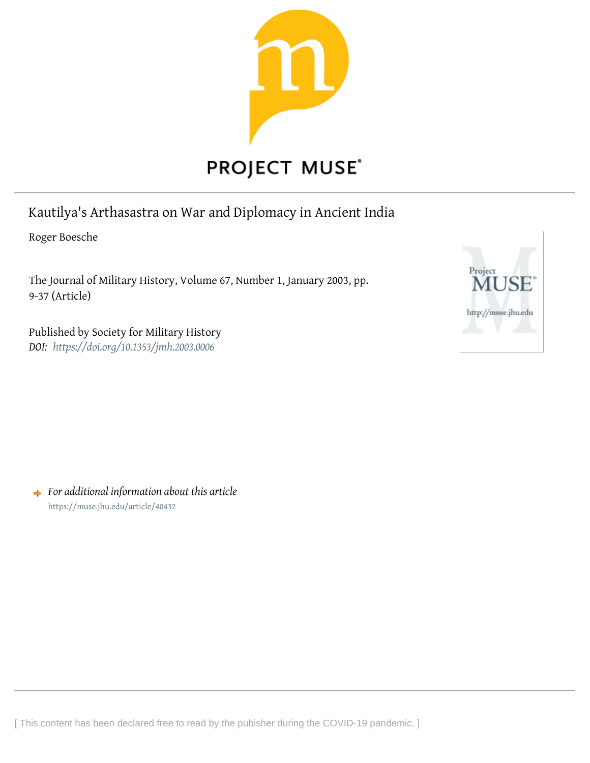

## Kautilya's Arthasastra on War and Diplomacy in Ancient India

Roger Boesche

The Journal of Military History, Volume 67, Number 1, January 2003, pp. 9-37 (Article)

Published by Society for Military History *DOI: <https://doi.org/10.1353/jmh.2003.0006>*



*For additional information about this article* <https://muse.jhu.edu/article/40432>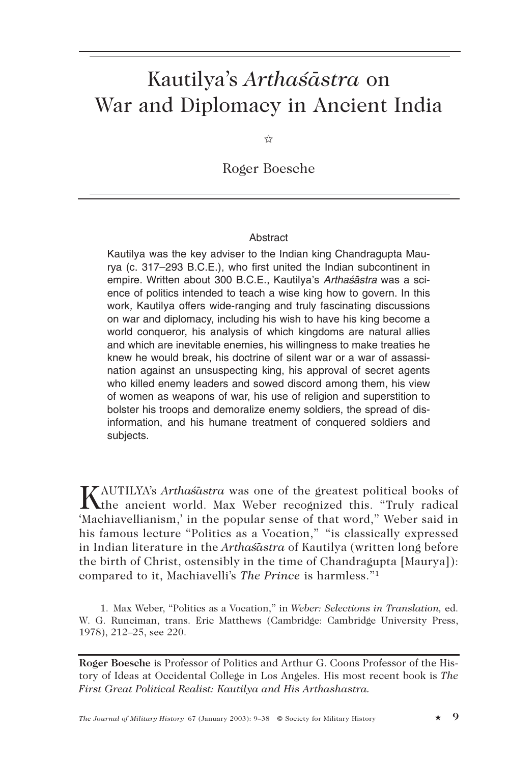# Kautilya's *Arthaśāstra* on War and Diplomacy in Ancient India

✩

Roger Boesche

#### **Abstract**

Kautilya was the key adviser to the Indian king Chandragupta Maurya (c. 317–293 B.C.E.), who first united the Indian subcontinent in empire. Written about 300 B.C.E., Kautilya's Arthas a stas a science of politics intended to teach a wise king how to govern. In this work*,* Kautilya offers wide-ranging and truly fascinating discussions on war and diplomacy, including his wish to have his king become a world conqueror, his analysis of which kingdoms are natural allies and which are inevitable enemies, his willingness to make treaties he knew he would break, his doctrine of silent war or a war of assassination against an unsuspecting king, his approval of secret agents who killed enemy leaders and sowed discord among them, his view of women as weapons of war, his use of religion and superstition to bolster his troops and demoralize enemy soldiers, the spread of disinformation, and his humane treatment of conquered soldiers and subjects.

KAUTILYA's *Arthasastra* was one of the greatest political books of the ancient world. Max Weber recognized this. "Truly radical the ancient world. Max Weber recognized this. "Truly radical 'Machiavellianism,' in the popular sense of that word," Weber said in his famous lecture "Politics as a Vocation," "is classically expressed in Indian literature in the *Arthascastra* of Kautilya (written long before the birth of Christ, ostensibly in the time of Chandragupta [Maurya]): compared to it, Machiavelli's *The Prince* is harmless."1

1. Max Weber, "Politics as a Vocation," in *Weber: Selections in Translation,* ed. W. G. Runciman, trans. Eric Matthews (Cambridge: Cambridge University Press, 1978), 212–25, see 220.

**Roger Boesche** is Professor of Politics and Arthur G. Coons Professor of the History of Ideas at Occidental College in Los Angeles. His most recent book is *The First Great Political Realist: Kautilya and His Arthashastra.*

★ **9**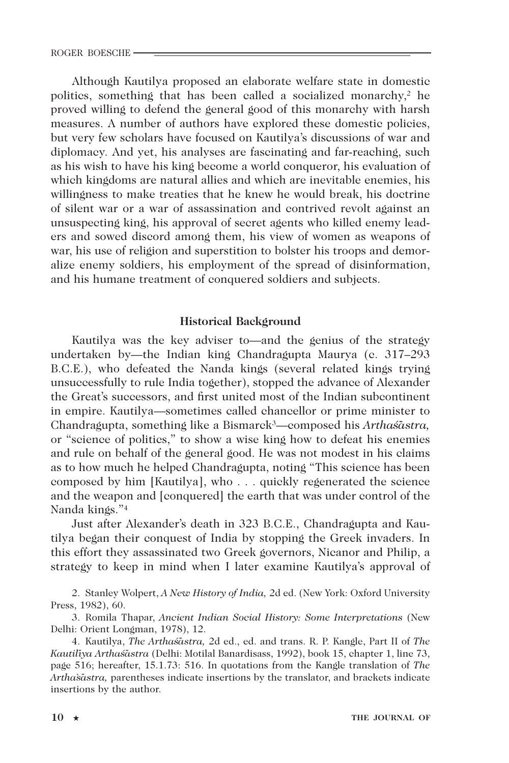ROGER BOESCHE

Although Kautilya proposed an elaborate welfare state in domestic politics, something that has been called a socialized monarchy,2 he proved willing to defend the general good of this monarchy with harsh measures. A number of authors have explored these domestic policies, but very few scholars have focused on Kautilya's discussions of war and diplomacy. And yet, his analyses are fascinating and far-reaching, such as his wish to have his king become a world conqueror, his evaluation of which kingdoms are natural allies and which are inevitable enemies, his willingness to make treaties that he knew he would break, his doctrine of silent war or a war of assassination and contrived revolt against an unsuspecting king, his approval of secret agents who killed enemy leaders and sowed discord among them, his view of women as weapons of war, his use of religion and superstition to bolster his troops and demoralize enemy soldiers, his employment of the spread of disinformation, and his humane treatment of conquered soldiers and subjects.

### **Historical Background**

Kautilya was the key adviser to—and the genius of the strategy undertaken by—the Indian king Chandragupta Maurya (c. 317–293 B.C.E.), who defeated the Nanda kings (several related kings trying unsuccessfully to rule India together), stopped the advance of Alexander the Great's successors, and first united most of the Indian subcontinent in empire. Kautilya—sometimes called chancellor or prime minister to Chandragupta, something like a Bismarck<sup>3</sup>—composed his *Arthaśāstra*, or "science of politics," to show a wise king how to defeat his enemies and rule on behalf of the general good. He was not modest in his claims as to how much he helped Chandragupta, noting "This science has been composed by him [Kautilya], who . . . quickly regenerated the science and the weapon and [conquered] the earth that was under control of the Nanda kings."4

Just after Alexander's death in 323 B.C.E., Chandragupta and Kautilya began their conquest of India by stopping the Greek invaders. In this effort they assassinated two Greek governors, Nicanor and Philip, a strategy to keep in mind when I later examine Kautilya's approval of

2. Stanley Wolpert, *A New History of India,* 2d ed. (New York: Oxford University Press, 1982), 60.

3. Romila Thapar, *Ancient Indian Social History: Some Interpretations* (New Delhi: Orient Longman, 1978), 12.

4. Kautilya, *The Artha´s*-*astra,* 2d ed., ed. and trans. R. P. Kangle, Part II of *The Kautil-ıya Artha´s*-*astra* (Delhi: Motilal Banardisass, 1992), book 15, chapter 1, line 73, page 516; hereafter, 15.1.73: 516. In quotations from the Kangle translation of *The Artha`s*-*astra,* parentheses indicate insertions by the translator, and brackets indicate insertions by the author.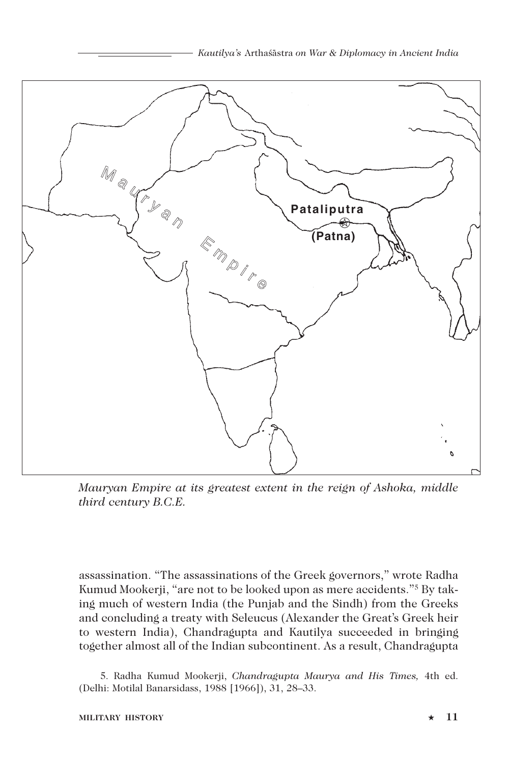

*Mauryan Empire at its greatest extent in the reign of Ashoka, middle third century B.C.E.*

assassination. "The assassinations of the Greek governors," wrote Radha Kumud Mookerji, "are not to be looked upon as mere accidents."5 By taking much of western India (the Punjab and the Sindh) from the Greeks and concluding a treaty with Seleucus (Alexander the Great's Greek heir to western India), Chandragupta and Kautilya succeeded in bringing together almost all of the Indian subcontinent. As a result, Chandragupta

5. Radha Kumud Mookerji, *Chandragupta Maurya and His Times,* 4th ed. (Delhi: Motilal Banarsidass, 1988 [1966]), 31, 28–33.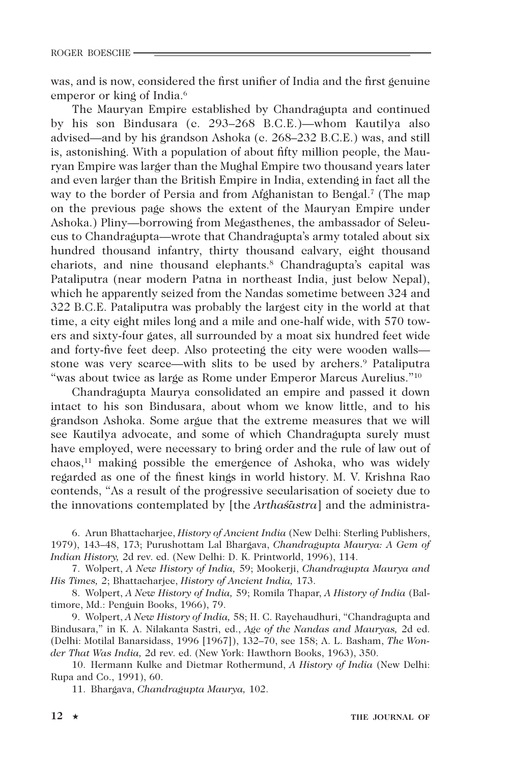was, and is now, considered the first unifier of India and the first genuine emperor or king of India.<sup>6</sup>

The Mauryan Empire established by Chandragupta and continued by his son Bindusara (c. 293–268 B.C.E.)—whom Kautilya also advised—and by his grandson Ashoka (c. 268–232 B.C.E.) was, and still is, astonishing. With a population of about fifty million people, the Mauryan Empire was larger than the Mughal Empire two thousand years later and even larger than the British Empire in India, extending in fact all the way to the border of Persia and from Afghanistan to Bengal.<sup>7</sup> (The map on the previous page shows the extent of the Mauryan Empire under Ashoka.) Pliny—borrowing from Megasthenes, the ambassador of Seleucus to Chandragupta—wrote that Chandragupta's army totaled about six hundred thousand infantry, thirty thousand calvary, eight thousand chariots, and nine thousand elephants.<sup>8</sup> Chandragupta's capital was Pataliputra (near modern Patna in northeast India, just below Nepal), which he apparently seized from the Nandas sometime between 324 and 322 B.C.E. Pataliputra was probably the largest city in the world at that time, a city eight miles long and a mile and one-half wide, with 570 towers and sixty-four gates, all surrounded by a moat six hundred feet wide and forty-five feet deep. Also protecting the city were wooden walls stone was very scarce—with slits to be used by archers.<sup>9</sup> Pataliputra "was about twice as large as Rome under Emperor Marcus Aurelius."10

Chandragupta Maurya consolidated an empire and passed it down intact to his son Bindusara, about whom we know little, and to his grandson Ashoka. Some argue that the extreme measures that we will see Kautilya advocate, and some of which Chandragupta surely must have employed, were necessary to bring order and the rule of law out of chaos,<sup>11</sup> making possible the emergence of Ashoka, who was widely regarded as one of the finest kings in world history. M. V. Krishna Rao contends, "As a result of the progressive secularisation of society due to the innovations contemplated by [the *Arthasastra*] and the administra-

6. Arun Bhattacharjee, *History of Ancient India* (New Delhi: Sterling Publishers, 1979), 143–48, 173; Purushottam Lal Bhargava, *Chandragupta Maurya: A Gem of Indian History,* 2d rev. ed. (New Delhi: D. K. Printworld, 1996), 114.

7. Wolpert, *A New History of India,* 59; Mookerji, *Chandragupta Maurya and His Times,* 2; Bhattacharjee, *History of Ancient India,* 173.

8. Wolpert, *A New History of India,* 59; Romila Thapar, *A History of India* (Baltimore, Md.: Penguin Books, 1966), 79.

9. Wolpert, *A New History of India,* 58; H. C. Raychaudhuri, "Chandragupta and Bindusara," in K. A. Nilakanta Sastri, ed., *Age of the Nandas and Mauryas,* 2d ed. (Delhi: Motilal Banarsidass, 1996 [1967]), 132–70, see 158; A. L. Basham, *The Wonder That Was India,* 2d rev. ed. (New York: Hawthorn Books, 1963), 350.

10. Hermann Kulke and Dietmar Rothermund, *A History of India* (New Delhi: Rupa and Co., 1991), 60.

11. Bhargava, *Chandragupta Maurya,* 102.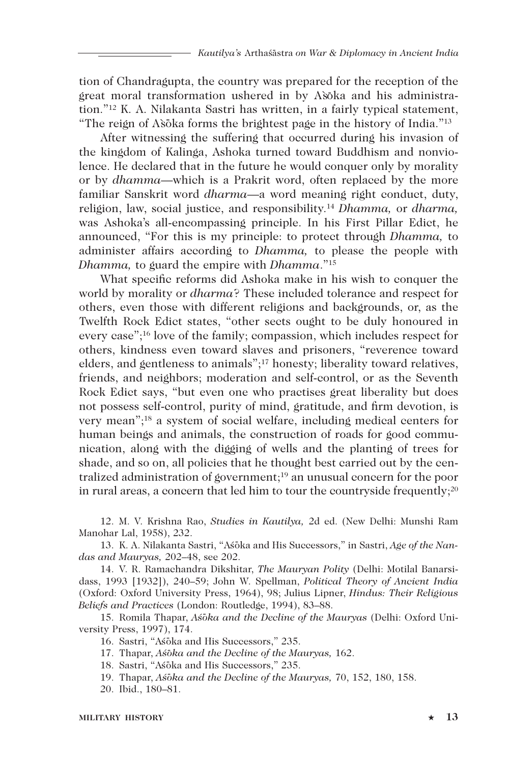tion of Chandragupta, the country was prepared for the reception of the great moral transformation ushered in by Asoka and his administration."12 K. A. Nilakanta Sastri has written, in a fairly typical statement, "The reign of Asoka forms the brightest page in the history of India."13

After witnessing the suffering that occurred during his invasion of the kingdom of Kalinga, Ashoka turned toward Buddhism and nonviolence. He declared that in the future he would conquer only by morality or by *dhamma*—which is a Prakrit word, often replaced by the more familiar Sanskrit word *dharma*—a word meaning right conduct, duty, religion, law, social justice, and responsibility.14 *Dhamma,* or *dharma,* was Ashoka's all-encompassing principle. In his First Pillar Edict, he announced, "For this is my principle: to protect through *Dhamma,* to administer affairs according to *Dhamma,* to please the people with *Dhamma,* to guard the empire with *Dhamma*."15

What specific reforms did Ashoka make in his wish to conquer the world by morality or *dharma*? These included tolerance and respect for others, even those with different religions and backgrounds, or, as the Twelfth Rock Edict states, "other sects ought to be duly honoured in every case";16 love of the family; compassion, which includes respect for others, kindness even toward slaves and prisoners, "reverence toward elders, and gentleness to animals";17 honesty; liberality toward relatives, friends, and neighbors; moderation and self-control, or as the Seventh Rock Edict says, "but even one who practises great liberality but does not possess self-control, purity of mind, gratitude, and firm devotion, is very mean";18 a system of social welfare, including medical centers for human beings and animals, the construction of roads for good communication, along with the digging of wells and the planting of trees for shade, and so on, all policies that he thought best carried out by the centralized administration of government;19 an unusual concern for the poor in rural areas, a concern that led him to tour the countryside frequently; $^{20}$ 

12. M. V. Krishna Rao, *Studies in Kautilya,* 2d ed. (New Delhi: Munshi Ram Manohar Lal, 1958), 232.

13. K. A. Nilakanta Sastri, "Aśōka and His Successors," in Sastri, *Age of the Nandas and Mauryas,* 202–48, see 202.

14. V. R. Ramachandra Dikshitar, *The Mauryan Polity* (Delhi: Motilal Banarsidass, 1993 [1932]), 240–59; John W. Spellman, *Political Theory of Ancient India* (Oxford: Oxford University Press, 1964), 98; Julius Lipner, *Hindus: Their Religious Beliefs and Practices* (London: Routledge, 1994), 83–88.

15. Romila Thapar, *A´s-oka and the Decline of the Mauryas* (Delhi: Oxford University Press, 1997), 174.

- 16. Sastri, "Asōka and His Successors," 235.
- 17. Thapar, *A´s-oka and the Decline of the Mauryas,* 162.
- 18. Sastri, "Aśōka and His Successors," 235.
- 19. Thapar, *A´s-oka and the Decline of the Mauryas,* 70, 152, 180, 158.
- 20. Ibid., 180–81.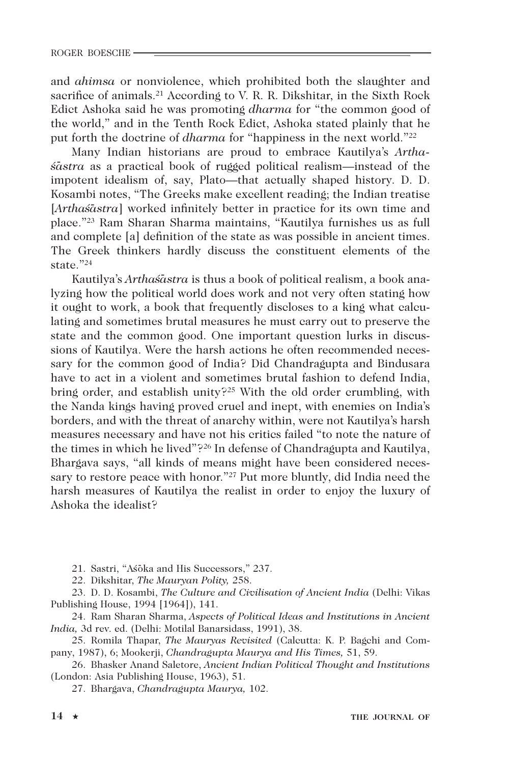and *ahimsa* or nonviolence, which prohibited both the slaughter and sacrifice of animals.<sup>21</sup> According to V. R. R. Dikshitar, in the Sixth Rock Edict Ashoka said he was promoting *dharma* for "the common good of the world," and in the Tenth Rock Edict, Ashoka stated plainly that he put forth the doctrine of *dharma* for "happiness in the next world."<sup>22</sup>

Many Indian historians are proud to embrace Kautilya's *Arthas´*- *astra* as a practical book of rugged political realism—instead of the impotent idealism of, say, Plato—that actually shaped history. D. D. Kosambi notes, "The Greeks make excellent reading; the Indian treatise [Arthasastra] worked infinitely better in practice for its own time and place."23 Ram Sharan Sharma maintains, "Kautilya furnishes us as full and complete [a] definition of the state as was possible in ancient times. The Greek thinkers hardly discuss the constituent elements of the state<sup>"24</sup>

.<br>Kautilya's *Arthαśāstra* is thus a book of political realism, a book analyzing how the political world does work and not very often stating how it ought to work, a book that frequently discloses to a king what calculating and sometimes brutal measures he must carry out to preserve the state and the common good. One important question lurks in discussions of Kautilya. Were the harsh actions he often recommended necessary for the common good of India? Did Chandragupta and Bindusara have to act in a violent and sometimes brutal fashion to defend India, bring order, and establish unity?<sup>25</sup> With the old order crumbling, with the Nanda kings having proved cruel and inept, with enemies on India's borders, and with the threat of anarchy within, were not Kautilya's harsh measures necessary and have not his critics failed "to note the nature of the times in which he lived"?26 In defense of Chandragupta and Kautilya, Bhargava says, "all kinds of means might have been considered necessary to restore peace with honor."<sup>27</sup> Put more bluntly, did India need the harsh measures of Kautilya the realist in order to enjoy the luxury of Ashoka the idealist?

21. Sastri, "Aśōka and His Successors," 237.

22. Dikshitar, *The Mauryan Polity,* 258.

23. D. D. Kosambi, *The Culture and Civilisation of Ancient India* (Delhi: Vikas Publishing House, 1994 [1964]), 141.

24. Ram Sharan Sharma, *Aspects of Political Ideas and Institutions in Ancient India,* 3d rev. ed. (Delhi: Motilal Banarsidass, 1991), 38.

25. Romila Thapar, *The Mauryas Revisited* (Calcutta: K. P. Bagchi and Company, 1987), 6; Mookerji, *Chandragupta Maurya and His Times,* 51, 59.

26. Bhasker Anand Saletore, *Ancient Indian Political Thought and Institutions* (London: Asia Publishing House, 1963), 51.

27. Bhargava, *Chandragupta Maurya,* 102.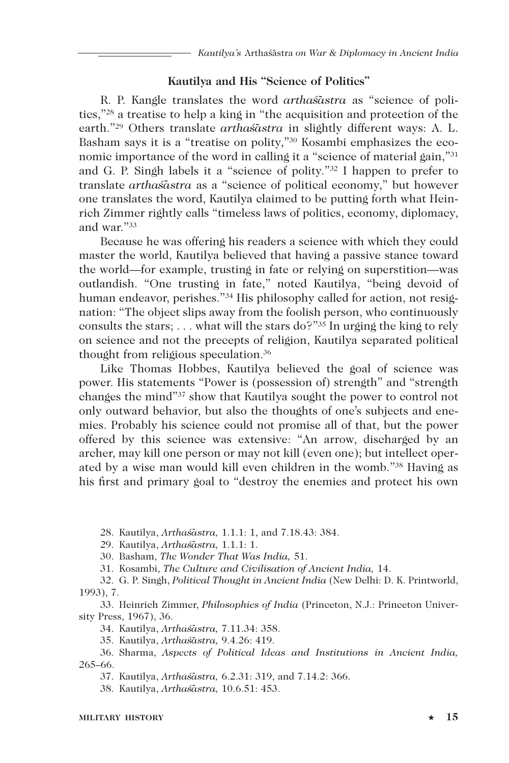### **Kautilya and His "Science of Politics"**

R. P. Kangle translates the word *arthasdastra* as "science of politics,"28 a treatise to help a king in "the acquisition and protection of the earth."<sup>29</sup> Others translate *arthaśāstra* in slightly different ways: A. L. Basham says it is a "treatise on polity,"30 Kosambi emphasizes the economic importance of the word in calling it a "science of material gain,"<sup>31</sup> and G. P. Singh labels it a "science of polity."32 I happen to prefer to translate *artha´s*-*astra* as a "science of political economy," but however one translates the word, Kautilya claimed to be putting forth what Heinrich Zimmer rightly calls "timeless laws of politics, economy, diplomacy, and war."33

Because he was offering his readers a science with which they could master the world, Kautilya believed that having a passive stance toward the world—for example, trusting in fate or relying on superstition—was outlandish. "One trusting in fate," noted Kautilya, "being devoid of human endeavor, perishes."34 His philosophy called for action, not resignation: "The object slips away from the foolish person, who continuously consults the stars; ... what will the stars do?"<sup>35</sup> In urging the king to rely on science and not the precepts of religion, Kautilya separated political thought from religious speculation.36

Like Thomas Hobbes, Kautilya believed the goal of science was power. His statements "Power is (possession of) strength" and "strength changes the mind"37 show that Kautilya sought the power to control not only outward behavior, but also the thoughts of one's subjects and enemies. Probably his science could not promise all of that, but the power offered by this science was extensive: "An arrow, discharged by an archer, may kill one person or may not kill (even one); but intellect operated by a wise man would kill even children in the womb."38 Having as his first and primary goal to "destroy the enemies and protect his own

28. Kautilya, *Artha´s*-*astra,* 1.1.1: 1, and 7.18.43: 384.

29. Kautilya, *Artha´s*-*astra,* 1.1.1: 1.

30. Basham, *The Wonder That Was India,* 51.

31. Kosambi, *The Culture and Civilisation of Ancient India,* 14.

32. G. P. Singh, *Political Thought in Ancient India* (New Delhi: D. K. Printworld, 1993), 7.

33. Heinrich Zimmer, *Philosophies of India* (Princeton, N.J.: Princeton University Press, 1967), 36.

34. Kautilya, *Artha´s*-*astra,* 7.11.34: 358.

35. Kautilya, *Artha´s*-*astra,* 9.4.26: 419.

36. Sharma, *Aspects of Political Ideas and Institutions in Ancient India,* 265–66.

37. Kautilya, *Artha´s*-*astra,* 6.2.31: 319, and 7.14.2: 366.

38. Kautilya, *Artha´s*-*astra,* 10.6.51: 453.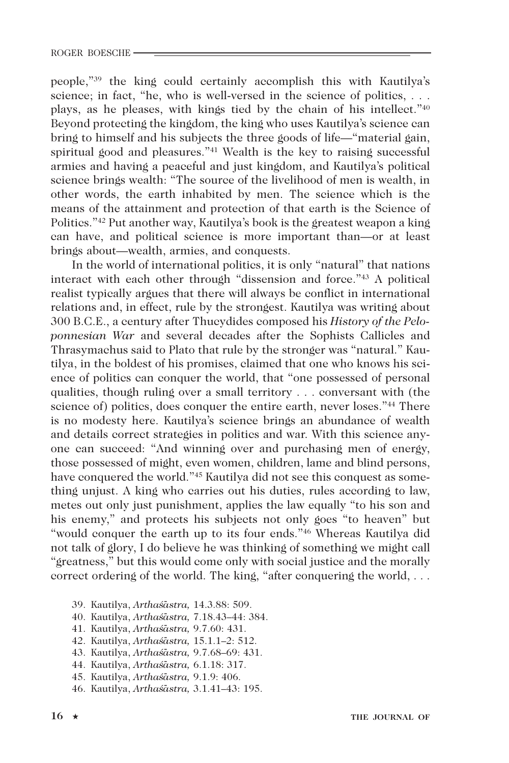people,"39 the king could certainly accomplish this with Kautilya's science; in fact, "he, who is well-versed in the science of politics, ... plays, as he pleases, with kings tied by the chain of his intellect."40 Beyond protecting the kingdom, the king who uses Kautilya's science can bring to himself and his subjects the three goods of life—"material gain, spiritual good and pleasures."41 Wealth is the key to raising successful armies and having a peaceful and just kingdom, and Kautilya's political science brings wealth: "The source of the livelihood of men is wealth, in other words, the earth inhabited by men. The science which is the means of the attainment and protection of that earth is the Science of Politics."42 Put another way, Kautilya's book is the greatest weapon a king can have, and political science is more important than—or at least brings about—wealth, armies, and conquests.

In the world of international politics, it is only "natural" that nations interact with each other through "dissension and force."43 A political realist typically argues that there will always be conflict in international relations and, in effect, rule by the strongest. Kautilya was writing about 300 B.C.E., a century after Thucydides composed his *History of the Peloponnesian War* and several decades after the Sophists Callicles and Thrasymachus said to Plato that rule by the stronger was "natural." Kautilya, in the boldest of his promises, claimed that one who knows his science of politics can conquer the world, that "one possessed of personal qualities, though ruling over a small territory . . . conversant with (the science of) politics, does conquer the entire earth, never loses."44 There is no modesty here. Kautilya's science brings an abundance of wealth and details correct strategies in politics and war. With this science anyone can succeed: "And winning over and purchasing men of energy, those possessed of might, even women, children, lame and blind persons, have conquered the world."45 Kautilya did not see this conquest as something unjust. A king who carries out his duties, rules according to law, metes out only just punishment, applies the law equally "to his son and his enemy," and protects his subjects not only goes "to heaven" but "would conquer the earth up to its four ends."46 Whereas Kautilya did not talk of glory, I do believe he was thinking of something we might call "greatness," but this would come only with social justice and the morally correct ordering of the world. The king, "after conquering the world, ...

- 39. Kautilya, *Artha´s*-*astra,* 14.3.88: 509.
- 40. Kautilya, *Artha´s*-*astra,* 7.18.43–44: 384.
- 41. Kautilya, *Artha´s*-*astra,* 9.7.60: 431.
- 42. Kautilya, *Artha´s*-*astra,* 15.1.1–2: 512.
- 43. Kautilya, *Artha´s*-*astra,* 9.7.68–69: 431.
- 44. Kautilya, *Artha´s*-*astra,* 6.1.18: 317.
- 45. Kautilya, *Artha´s*-*astra,* 9.1.9: 406.
- 46. Kautilya, *Artha´s*-*astra,* 3.1.41–43: 195.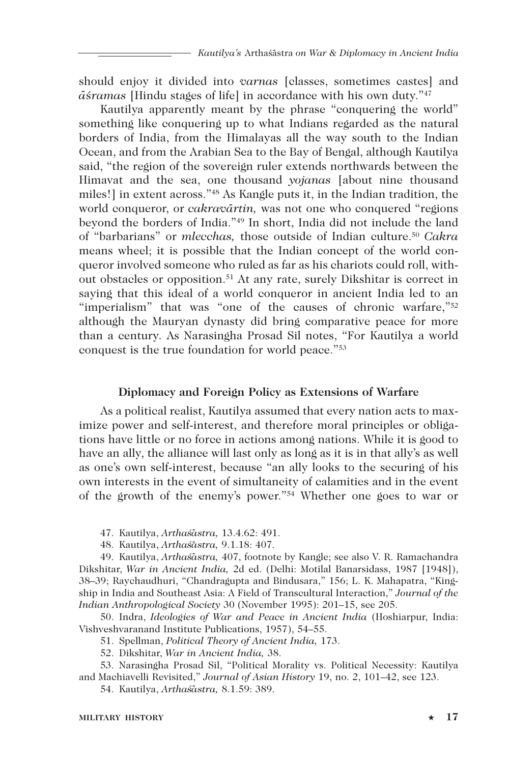should enjoy it divided into *varnas* [classes, sometimes castes] and  $\vec{a}$  stramas [Hindu stages of life] in accordance with his own duty."<sup>47</sup>

Kautilya apparently meant by the phrase "conquering the world" something like conquering up to what Indians regarded as the natural borders of India, from the Himalayas all the way south to the Indian Ocean, and from the Arabian Sea to the Bay of Bengal, although Kautilya said, "the region of the sovereign ruler extends northwards between the Himavat and the sea, one thousand *yojanas* [about nine thousand miles!] in extent across."48 As Kangle puts it, in the Indian tradition, the world conqueror, or *cakravartin*, was not one who conquered "regions beyond the borders of India."49 In short, India did not include the land of "barbarians" or *mlecchas,* those outside of Indian culture.50 *Cakra* means wheel; it is possible that the Indian concept of the world conqueror involved someone who ruled as far as his chariots could roll, without obstacles or opposition.51 At any rate, surely Dikshitar is correct in saying that this ideal of a world conqueror in ancient India led to an "imperialism" that was "one of the causes of chronic warfare,"52 although the Mauryan dynasty did bring comparative peace for more than a century. As Narasingha Prosad Sil notes, "For Kautilya a world conquest is the true foundation for world peace."53

#### **Diplomacy and Foreign Policy as Extensions of Warfare**

As a political realist, Kautilya assumed that every nation acts to maximize power and self-interest, and therefore moral principles or obligations have little or no force in actions among nations. While it is good to have an ally, the alliance will last only as long as it is in that ally's as well as one's own self-interest, because "an ally looks to the securing of his own interests in the event of simultaneity of calamities and in the event of the growth of the enemy's power."54 Whether one goes to war or

- 47. Kautilya, *Artha´s*-*astra,* 13.4.62: 491.
- 48. Kautilya, *Artha´s*-*astra,* 9.1.18: 407.

49. Kautilya, *Artha´s*-*astra,* 407, footnote by Kangle; see also V. R. Ramachandra Dikshitar, *War in Ancient India,* 2d ed. (Delhi: Motilal Banarsidass, 1987 [1948]), 38–39; Raychaudhuri, "Chandragupta and Bindusara," 156; L. K. Mahapatra, "Kingship in India and Southeast Asia: A Field of Transcultural Interaction," *Journal of the Indian Anthropological Society* 30 (November 1995): 201–15, see 205.

50. Indra, *Ideologies of War and Peace in Ancient India* (Hoshiarpur, India: Vishveshvaranand Institute Publications, 1957), 54–55.

- 51. Spellman, *Political Theory of Ancient India,* 173.
- 52. Dikshitar, *War in Ancient India,* 38.
- 53. Narasingha Prosad Sil, "Political Morality vs. Political Necessity: Kautilya and Machiavelli Revisited," *Journal of Asian History* 19, no. 2, 101–42, see 123.
	- 54. Kautilya, *Artha´s*-*astra,* 8.1.59: 389.

**MILITARY HISTORY** ★ **17**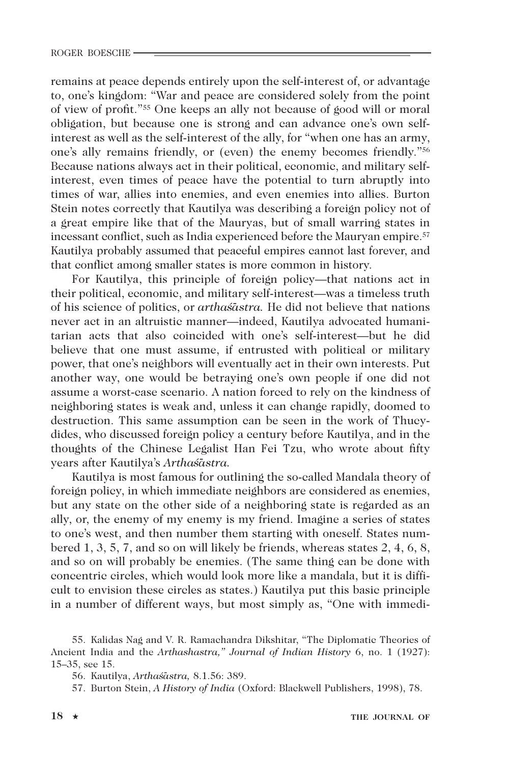remains at peace depends entirely upon the self-interest of, or advantage to, one's kingdom: "War and peace are considered solely from the point of view of profit."55 One keeps an ally not because of good will or moral obligation, but because one is strong and can advance one's own selfinterest as well as the self-interest of the ally, for "when one has an army, one's ally remains friendly, or (even) the enemy becomes friendly."56 Because nations always act in their political, economic, and military selfinterest, even times of peace have the potential to turn abruptly into times of war, allies into enemies, and even enemies into allies. Burton Stein notes correctly that Kautilya was describing a foreign policy not of a great empire like that of the Mauryas, but of small warring states in incessant conflict, such as India experienced before the Mauryan empire.57 Kautilya probably assumed that peaceful empires cannot last forever, and that conflict among smaller states is more common in history.

For Kautilya, this principle of foreign policy—that nations act in their political, economic, and military self-interest—was a timeless truth of his science of politics, or *arthasastra*. He did not believe that nations never act in an altruistic manner—indeed, Kautilya advocated humanitarian acts that also coincided with one's self-interest—but he did believe that one must assume, if entrusted with political or military power, that one's neighbors will eventually act in their own interests. Put another way, one would be betraying one's own people if one did not assume a worst-case scenario. A nation forced to rely on the kindness of neighboring states is weak and, unless it can change rapidly, doomed to destruction. This same assumption can be seen in the work of Thucydides, who discussed foreign policy a century before Kautilya, and in the thoughts of the Chinese Legalist Han Fei Tzu, who wrote about fifty years after Kautilya's *Artha´s*-*astra.*

Kautilya is most famous for outlining the so-called Mandala theory of foreign policy, in which immediate neighbors are considered as enemies, but any state on the other side of a neighboring state is regarded as an ally, or, the enemy of my enemy is my friend. Imagine a series of states to one's west, and then number them starting with oneself. States numbered 1, 3, 5, 7, and so on will likely be friends, whereas states 2, 4, 6, 8, and so on will probably be enemies. (The same thing can be done with concentric circles, which would look more like a mandala, but it is difficult to envision these circles as states.) Kautilya put this basic principle in a number of different ways, but most simply as, "One with immedi-

<sup>55.</sup> Kalidas Nag and V. R. Ramachandra Dikshitar, "The Diplomatic Theories of Ancient India and the *Arthashastra," Journal of Indian History* 6, no. 1 (1927): 15–35, see 15.

<sup>56.</sup> Kautilya, *Artha´s*-*astra,* 8.1.56: 389.

<sup>57.</sup> Burton Stein, *A History of India* (Oxford: Blackwell Publishers, 1998), 78.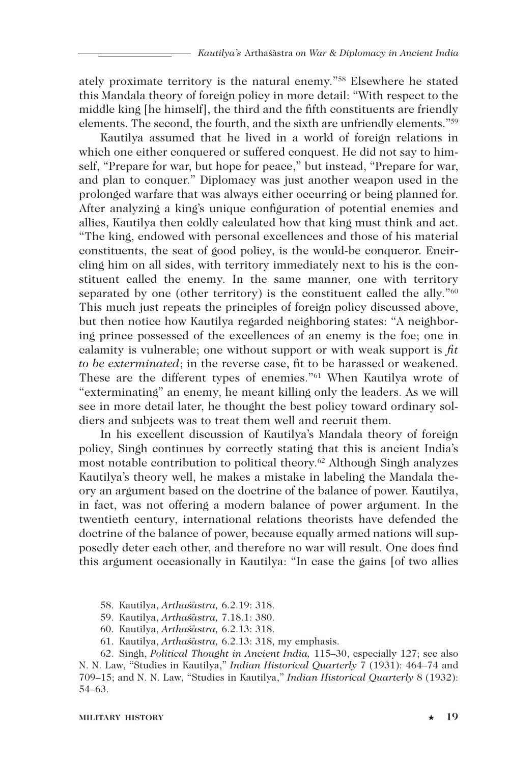ately proximate territory is the natural enemy."58 Elsewhere he stated this Mandala theory of foreign policy in more detail: "With respect to the middle king [he himself], the third and the fifth constituents are friendly elements. The second, the fourth, and the sixth are unfriendly elements."59

Kautilya assumed that he lived in a world of foreign relations in which one either conquered or suffered conquest. He did not say to himself, "Prepare for war, but hope for peace," but instead, "Prepare for war, and plan to conquer." Diplomacy was just another weapon used in the prolonged warfare that was always either occurring or being planned for. After analyzing a king's unique configuration of potential enemies and allies, Kautilya then coldly calculated how that king must think and act. "The king, endowed with personal excellences and those of his material constituents, the seat of good policy, is the would-be conqueror. Encircling him on all sides, with territory immediately next to his is the constituent called the enemy. In the same manner, one with territory separated by one (other territory) is the constituent called the ally."<sup>60</sup> This much just repeats the principles of foreign policy discussed above, but then notice how Kautilya regarded neighboring states: "A neighboring prince possessed of the excellences of an enemy is the foe; one in calamity is vulnerable; one without support or with weak support is *fit to be exterminated*; in the reverse case, fit to be harassed or weakened. These are the different types of enemies."61 When Kautilya wrote of "exterminating" an enemy, he meant killing only the leaders. As we will see in more detail later, he thought the best policy toward ordinary soldiers and subjects was to treat them well and recruit them.

In his excellent discussion of Kautilya's Mandala theory of foreign policy, Singh continues by correctly stating that this is ancient India's most notable contribution to political theory.62 Although Singh analyzes Kautilya's theory well, he makes a mistake in labeling the Mandala theory an argument based on the doctrine of the balance of power. Kautilya, in fact, was not offering a modern balance of power argument. In the twentieth century, international relations theorists have defended the doctrine of the balance of power, because equally armed nations will supposedly deter each other, and therefore no war will result. One does find this argument occasionally in Kautilya: "In case the gains [of two allies

58. Kautilya, *Artha´s*-*astra,* 6.2.19: 318.

- 59. Kautilya, *Artha´s*-*astra,* 7.18.1: 380.
- 60. Kautilya, *Artha´s*-*astra,* 6.2.13: 318.
- 61. Kautilya, *Artha´s*-*astra,* 6.2.13: 318, my emphasis.

62. Singh, *Political Thought in Ancient India,* 115–30, especially 127; see also N. N. Law, "Studies in Kautilya," *Indian Historical Quarterly* 7 (1931): 464–74 and 709–15; and N. N. Law, "Studies in Kautilya," *Indian Historical Quarterly* 8 (1932): 54–63.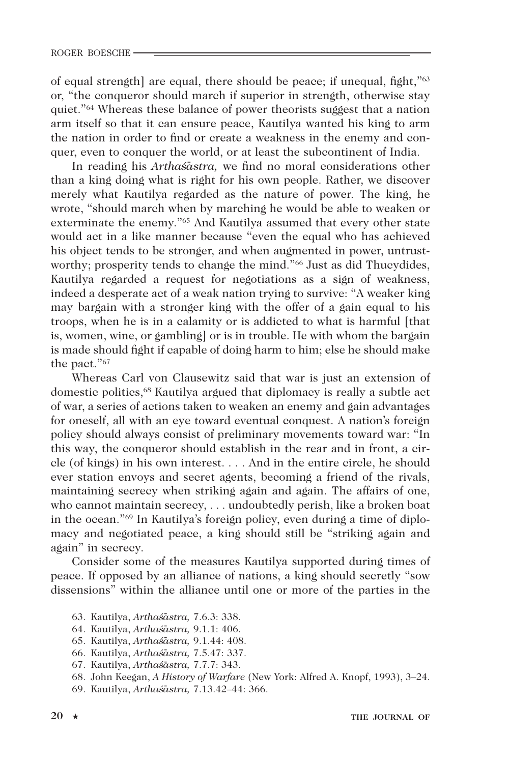of equal strength] are equal, there should be peace; if unequal, fight,"63 or, "the conqueror should march if superior in strength, otherwise stay quiet."<sup>64</sup> Whereas these balance of power theorists suggest that a nation arm itself so that it can ensure peace, Kautilya wanted his king to arm the nation in order to find or create a weakness in the enemy and conquer, even to conquer the world, or at least the subcontinent of India.

In reading his *Arthasastra*, we find no moral considerations other than a king doing what is right for his own people. Rather, we discover merely what Kautilya regarded as the nature of power. The king, he wrote, "should march when by marching he would be able to weaken or exterminate the enemy."65 And Kautilya assumed that every other state would act in a like manner because "even the equal who has achieved his object tends to be stronger, and when augmented in power, untrustworthy; prosperity tends to change the mind."<sup>66</sup> Just as did Thucydides, Kautilya regarded a request for negotiations as a sign of weakness, indeed a desperate act of a weak nation trying to survive: "A weaker king may bargain with a stronger king with the offer of a gain equal to his troops, when he is in a calamity or is addicted to what is harmful [that is, women, wine, or gambling] or is in trouble. He with whom the bargain is made should fight if capable of doing harm to him; else he should make the pact."67

Whereas Carl von Clausewitz said that war is just an extension of domestic politics,68 Kautilya argued that diplomacy is really a subtle act of war, a series of actions taken to weaken an enemy and gain advantages for oneself, all with an eye toward eventual conquest. A nation's foreign policy should always consist of preliminary movements toward war: "In this way, the conqueror should establish in the rear and in front, a circle (of kings) in his own interest. . . . And in the entire circle, he should ever station envoys and secret agents, becoming a friend of the rivals, maintaining secrecy when striking again and again. The affairs of one, who cannot maintain secrecy, . . . undoubtedly perish, like a broken boat in the ocean."69 In Kautilya's foreign policy, even during a time of diplomacy and negotiated peace, a king should still be "striking again and again" in secrecy.

Consider some of the measures Kautilya supported during times of peace. If opposed by an alliance of nations, a king should secretly "sow dissensions" within the alliance until one or more of the parties in the

- 63. Kautilya, *Artha´s*-*astra,* 7.6.3: 338.
- 64. Kautilya, *Artha´s*-*astra,* 9.1.1: 406.
- 65. Kautilya, *Artha´s*-*astra,* 9.1.44: 408.
- 66. Kautilya, *Artha´s*-*astra,* 7.5.47: 337.
- 67. Kautilya, *Artha´s*-*astra,* 7.7.7: 343.
- 68. John Keegan, *A History of Warfare* (New York: Alfred A. Knopf, 1993), 3–24.
- 69. Kautilya, *Artha´s*-*astra,* 7.13.42–44: 366.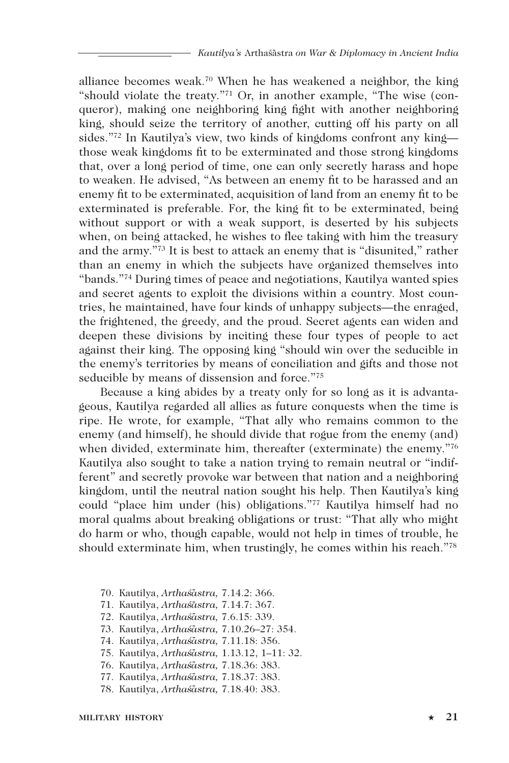alliance becomes weak.70 When he has weakened a neighbor, the king "should violate the treaty."71 Or, in another example, "The wise (conqueror), making one neighboring king fight with another neighboring king, should seize the territory of another, cutting off his party on all sides."72 In Kautilya's view, two kinds of kingdoms confront any king those weak kingdoms fit to be exterminated and those strong kingdoms that, over a long period of time, one can only secretly harass and hope to weaken. He advised, "As between an enemy fit to be harassed and an enemy fit to be exterminated, acquisition of land from an enemy fit to be exterminated is preferable. For, the king fit to be exterminated, being without support or with a weak support, is deserted by his subjects when, on being attacked, he wishes to flee taking with him the treasury and the army."73 It is best to attack an enemy that is "disunited," rather than an enemy in which the subjects have organized themselves into "bands."74 During times of peace and negotiations, Kautilya wanted spies and secret agents to exploit the divisions within a country. Most countries, he maintained, have four kinds of unhappy subjects—the enraged, the frightened, the greedy, and the proud. Secret agents can widen and deepen these divisions by inciting these four types of people to act against their king. The opposing king "should win over the seducible in the enemy's territories by means of conciliation and gifts and those not seducible by means of dissension and force."75

Because a king abides by a treaty only for so long as it is advantageous, Kautilya regarded all allies as future conquests when the time is ripe. He wrote, for example, "That ally who remains common to the enemy (and himself), he should divide that rogue from the enemy (and) when divided, exterminate him, thereafter (exterminate) the enemy."76 Kautilya also sought to take a nation trying to remain neutral or "indifferent" and secretly provoke war between that nation and a neighboring kingdom, until the neutral nation sought his help. Then Kautilya's king could "place him under (his) obligations."77 Kautilya himself had no moral qualms about breaking obligations or trust: "That ally who might do harm or who, though capable, would not help in times of trouble, he should exterminate him, when trustingly, he comes within his reach."<sup>78</sup>

- 70. Kautilya, *Artha´s*-*astra,* 7.14.2: 366.
- 71. Kautilya, *Artha´s*-*astra,* 7.14.7: 367.
- 72. Kautilya, *Artha´s*-*astra,* 7.6.15: 339.
- 73. Kautilya, *Artha´s*-*astra,* 7.10.26–27: 354.
- 74. Kautilya, *Artha´s*-*astra,* 7.11.18: 356.
- 75. Kautilya, *Artha´s*-*astra,* 1.13.12, 1–11: 32.
- 76. Kautilya, *Artha´s*-*astra,* 7.18.36: 383.
- 77. Kautilya, *Artha´s*-*astra,* 7.18.37: 383.
- 78. Kautilya, *Artha´s*-*astra,* 7.18.40: 383.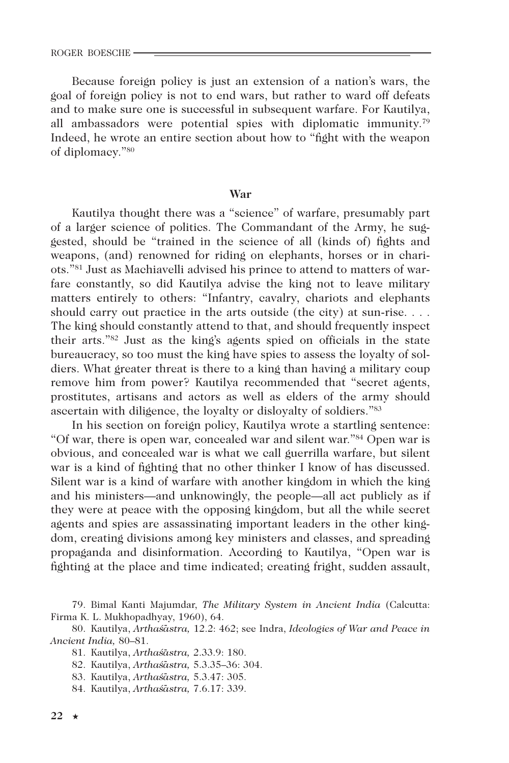Because foreign policy is just an extension of a nation's wars, the goal of foreign policy is not to end wars, but rather to ward off defeats and to make sure one is successful in subsequent warfare. For Kautilya, all ambassadors were potential spies with diplomatic immunity.79 Indeed, he wrote an entire section about how to "fight with the weapon of diplomacy."80

#### **War**

Kautilya thought there was a "science" of warfare, presumably part of a larger science of politics. The Commandant of the Army, he suggested, should be "trained in the science of all (kinds of) fights and weapons, (and) renowned for riding on elephants, horses or in chariots."81 Just as Machiavelli advised his prince to attend to matters of warfare constantly, so did Kautilya advise the king not to leave military matters entirely to others: "Infantry, cavalry, chariots and elephants should carry out practice in the arts outside (the city) at sun-rise. . . . The king should constantly attend to that, and should frequently inspect their arts."82 Just as the king's agents spied on officials in the state bureaucracy, so too must the king have spies to assess the loyalty of soldiers. What greater threat is there to a king than having a military coup remove him from power? Kautilya recommended that "secret agents, prostitutes, artisans and actors as well as elders of the army should ascertain with diligence, the loyalty or disloyalty of soldiers."83

In his section on foreign policy, Kautilya wrote a startling sentence: "Of war, there is open war, concealed war and silent war."84 Open war is obvious, and concealed war is what we call guerrilla warfare, but silent war is a kind of fighting that no other thinker I know of has discussed. Silent war is a kind of warfare with another kingdom in which the king and his ministers—and unknowingly, the people—all act publicly as if they were at peace with the opposing kingdom, but all the while secret agents and spies are assassinating important leaders in the other kingdom, creating divisions among key ministers and classes, and spreading propaganda and disinformation. According to Kautilya, "Open war is fighting at the place and time indicated; creating fright, sudden assault,

79. Bimal Kanti Majumdar, *The Military System in Ancient India* (Calcutta: Firma K. L. Mukhopadhyay, 1960), 64.

80. Kautilya, *Artha´s*-*astra,* 12.2: 462; see Indra, *Ideologies of War and Peace in Ancient India,* 80–81.

- 82. Kautilya, *Artha´s*-*astra,* 5.3.35–36: 304.
- 83. Kautilya, *Artha´s*-*astra,* 5.3.47: 305.
- 84. Kautilya, *Artha´s*-*astra,* 7.6.17: 339.

<sup>81.</sup> Kautilya, *Artha´s*-*astra,* 2.33.9: 180.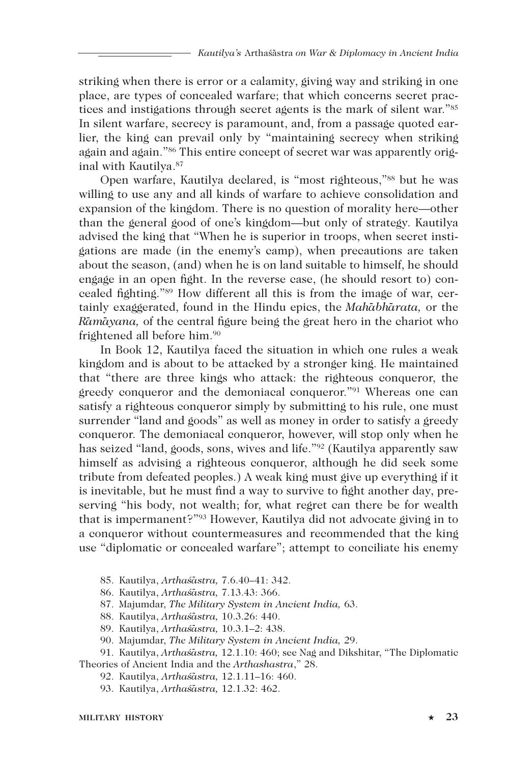striking when there is error or a calamity, giving way and striking in one place, are types of concealed warfare; that which concerns secret practices and instigations through secret agents is the mark of silent war."85 In silent warfare, secrecy is paramount, and, from a passage quoted earlier, the king can prevail only by "maintaining secrecy when striking again and again."86 This entire concept of secret war was apparently original with Kautilya.87

Open warfare, Kautilya declared, is "most righteous,"88 but he was willing to use any and all kinds of warfare to achieve consolidation and expansion of the kingdom. There is no question of morality here—other than the general good of one's kingdom—but only of strategy. Kautilya advised the king that "When he is superior in troops, when secret instigations are made (in the enemy's camp), when precautions are taken about the season, (and) when he is on land suitable to himself, he should engage in an open fight. In the reverse case, (he should resort to) concealed fighting."89 How different all this is from the image of war, certainly exaggerated, found in the Hindu epics, the *Mahabharata*, or the *Ramayana*, of the central figure being the great hero in the chariot who frightened all before him.90

In Book 12, Kautilya faced the situation in which one rules a weak kingdom and is about to be attacked by a stronger king. He maintained that "there are three kings who attack: the righteous conqueror, the greedy conqueror and the demoniacal conqueror."91 Whereas one can satisfy a righteous conqueror simply by submitting to his rule, one must surrender "land and goods" as well as money in order to satisfy a greedy conqueror. The demoniacal conqueror, however, will stop only when he has seized "land, goods, sons, wives and life."92 (Kautilya apparently saw himself as advising a righteous conqueror, although he did seek some tribute from defeated peoples.) A weak king must give up everything if it is inevitable, but he must find a way to survive to fight another day, preserving "his body, not wealth; for, what regret can there be for wealth that is impermanent?"93 However, Kautilya did not advocate giving in to a conqueror without countermeasures and recommended that the king use "diplomatic or concealed warfare"; attempt to conciliate his enemy

- 85. Kautilya, *Artha´s*-*astra,* 7.6.40–41: 342.
- 86. Kautilya, *Artha´s*-*astra,* 7.13.43: 366.
- 87. Majumdar, *The Military System in Ancient India,* 63.
- 88. Kautilya, *Artha´s*-*astra,* 10.3.26: 440.
- 89. Kautilya, *Artha´s*-*astra,* 10.3.1–2: 438.
- 90. Majumdar, *The Military System in Ancient India,* 29.

91. Kautilya, *Artha´s*-*astra,* 12.1.10: 460; see Nag and Dikshitar, "The Diplomatic Theories of Ancient India and the *Arthashastra*," 28.

- 92. Kautilya, *Artha´s*-*astra,* 12.1.11–16: 460.
- 93. Kautilya, *Artha´s*-*astra,* 12.1.32: 462.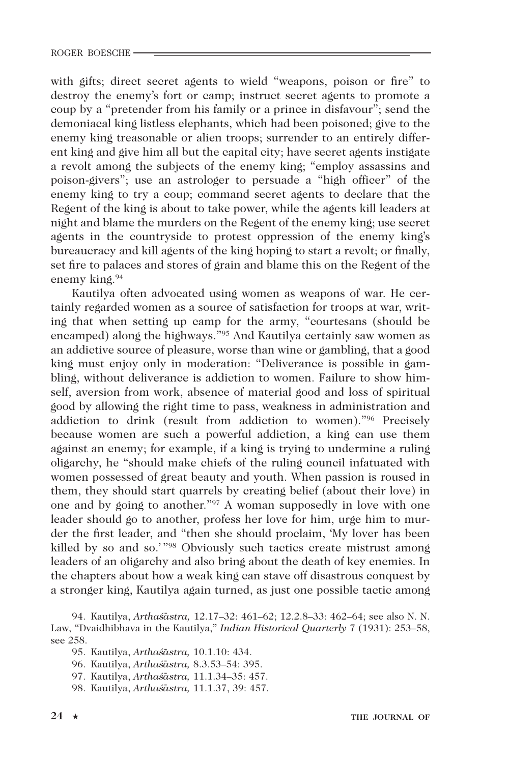with gifts; direct secret agents to wield "weapons, poison or fire" to destroy the enemy's fort or camp; instruct secret agents to promote a coup by a "pretender from his family or a prince in disfavour"; send the demoniacal king listless elephants, which had been poisoned; give to the enemy king treasonable or alien troops; surrender to an entirely different king and give him all but the capital city; have secret agents instigate a revolt among the subjects of the enemy king; "employ assassins and poison-givers"; use an astrologer to persuade a "high officer" of the enemy king to try a coup; command secret agents to declare that the Regent of the king is about to take power, while the agents kill leaders at night and blame the murders on the Regent of the enemy king; use secret agents in the countryside to protest oppression of the enemy king's bureaucracy and kill agents of the king hoping to start a revolt; or finally, set fire to palaces and stores of grain and blame this on the Regent of the enemy king.<sup>94</sup>

Kautilya often advocated using women as weapons of war. He certainly regarded women as a source of satisfaction for troops at war, writing that when setting up camp for the army, "courtesans (should be encamped) along the highways."95 And Kautilya certainly saw women as an addictive source of pleasure, worse than wine or gambling, that a good king must enjoy only in moderation: "Deliverance is possible in gambling, without deliverance is addiction to women. Failure to show himself, aversion from work, absence of material good and loss of spiritual good by allowing the right time to pass, weakness in administration and addiction to drink (result from addiction to women)."96 Precisely because women are such a powerful addiction, a king can use them against an enemy; for example, if a king is trying to undermine a ruling oligarchy, he "should make chiefs of the ruling council infatuated with women possessed of great beauty and youth. When passion is roused in them, they should start quarrels by creating belief (about their love) in one and by going to another."97 A woman supposedly in love with one leader should go to another, profess her love for him, urge him to murder the first leader, and "then she should proclaim, 'My lover has been killed by so and so.'"98 Obviously such tactics create mistrust among leaders of an oligarchy and also bring about the death of key enemies. In the chapters about how a weak king can stave off disastrous conquest by a stronger king, Kautilya again turned, as just one possible tactic among

- 96. Kautilya, *Artha´s*-*astra,* 8.3.53–54: 395.
- 97. Kautilya, *Artha´s*-*astra,* 11.1.34–35: 457.
- 98. Kautilya, *Artha´s*-*astra,* 11.1.37, 39: 457.

<sup>94.</sup> Kautilya, *Artha´s*-*astra,* 12.17–32: 461–62; 12.2.8–33: 462–64; see also N. N. Law, "Dvaidhibhava in the Kautilya," *Indian Historical Quarterly* 7 (1931): 253–58, see 258.

<sup>95.</sup> Kautilya, *Artha´s*-*astra,* 10.1.10: 434.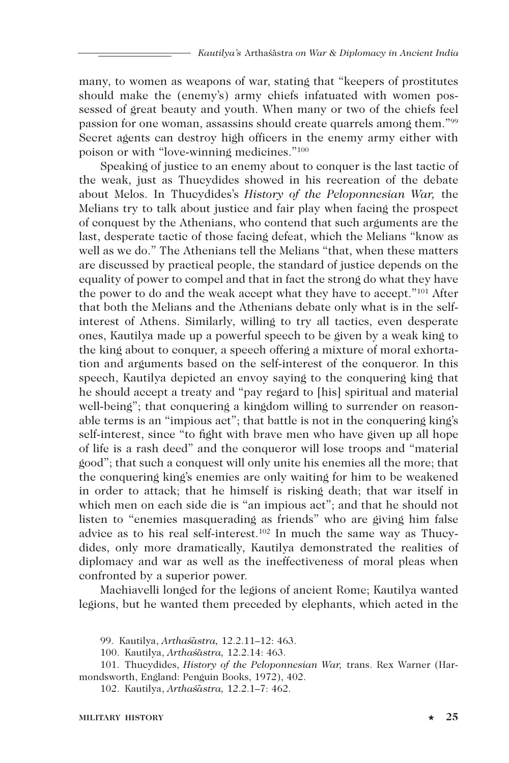many, to women as weapons of war, stating that "keepers of prostitutes should make the (enemy's) army chiefs infatuated with women possessed of great beauty and youth. When many or two of the chiefs feel passion for one woman, assassins should create quarrels among them."99 Secret agents can destroy high officers in the enemy army either with poison or with "love-winning medicines."100

Speaking of justice to an enemy about to conquer is the last tactic of the weak, just as Thucydides showed in his recreation of the debate about Melos. In Thucydides's *History of the Peloponnesian War,* the Melians try to talk about justice and fair play when facing the prospect of conquest by the Athenians, who contend that such arguments are the last, desperate tactic of those facing defeat, which the Melians "know as well as we do." The Athenians tell the Melians "that, when these matters are discussed by practical people, the standard of justice depends on the equality of power to compel and that in fact the strong do what they have the power to do and the weak accept what they have to accept."101 After that both the Melians and the Athenians debate only what is in the selfinterest of Athens. Similarly, willing to try all tactics, even desperate ones, Kautilya made up a powerful speech to be given by a weak king to the king about to conquer, a speech offering a mixture of moral exhortation and arguments based on the self-interest of the conqueror. In this speech, Kautilya depicted an envoy saying to the conquering king that he should accept a treaty and "pay regard to [his] spiritual and material well-being"; that conquering a kingdom willing to surrender on reasonable terms is an "impious act"; that battle is not in the conquering king's self-interest, since "to fight with brave men who have given up all hope of life is a rash deed" and the conqueror will lose troops and "material good"; that such a conquest will only unite his enemies all the more; that the conquering king's enemies are only waiting for him to be weakened in order to attack; that he himself is risking death; that war itself in which men on each side die is "an impious act"; and that he should not listen to "enemies masquerading as friends" who are giving him false advice as to his real self-interest.102 In much the same way as Thucydides, only more dramatically, Kautilya demonstrated the realities of diplomacy and war as well as the ineffectiveness of moral pleas when confronted by a superior power.

Machiavelli longed for the legions of ancient Rome; Kautilya wanted legions, but he wanted them preceded by elephants, which acted in the

99. Kautilya, *Artha´s*-*astra,* 12.2.11–12: 463.

100. Kautilya, *Artha´s*-*astra,* 12.2.14: 463.

101. Thucydides, *History of the Peloponnesian War,* trans. Rex Warner (Harmondsworth, England: Penguin Books, 1972), 402.

102. Kautilya, *Artha´s*-*astra,* 12.2.1–7: 462.

**MILITARY HISTORY** ★ **25**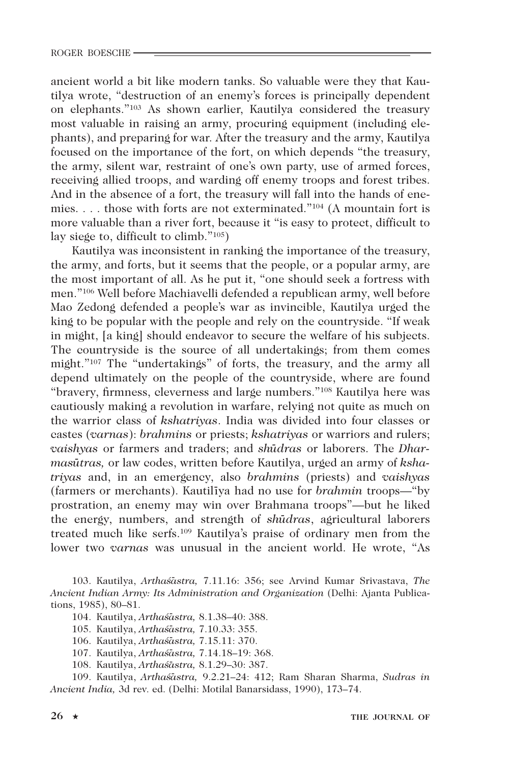ancient world a bit like modern tanks. So valuable were they that Kautilya wrote, "destruction of an enemy's forces is principally dependent on elephants."103 As shown earlier, Kautilya considered the treasury most valuable in raising an army, procuring equipment (including elephants), and preparing for war. After the treasury and the army, Kautilya focused on the importance of the fort, on which depends "the treasury, the army, silent war, restraint of one's own party, use of armed forces, receiving allied troops, and warding off enemy troops and forest tribes. And in the absence of a fort, the treasury will fall into the hands of enemies. . . . those with forts are not exterminated."104 (A mountain fort is more valuable than a river fort, because it "is easy to protect, difficult to lay siege to, difficult to climb."<sup>105</sup>)

Kautilya was inconsistent in ranking the importance of the treasury, the army, and forts, but it seems that the people, or a popular army, are the most important of all. As he put it, "one should seek a fortress with men."106 Well before Machiavelli defended a republican army, well before Mao Zedong defended a people's war as invincible, Kautilya urged the king to be popular with the people and rely on the countryside. "If weak in might, [a king] should endeavor to secure the welfare of his subjects. The countryside is the source of all undertakings; from them comes might."107 The "undertakings" of forts, the treasury, and the army all depend ultimately on the people of the countryside, where are found "bravery, firmness, cleverness and large numbers."108 Kautilya here was cautiously making a revolution in warfare, relying not quite as much on the warrior class of *kshatriyas*. India was divided into four classes or castes (*varnas*): *brahmins* or priests; *kshatriyas* or warriors and rulers; vaishyas or farmers and traders; and *shūdras* or laborers. The *Dharmas - utras,* or law codes, written before Kautilya, urged an army of *kshatriyas* and, in an emergency, also *brahmins* (priests) and *vaishyas* (farmers or merchants). Kautil-ıya had no use for *brahmin* troops—"by prostration, an enemy may win over Brahmana troops"—but he liked the energy, numbers, and strength of *shūdras*, agricultural laborers treated much like serfs.109 Kautilya's praise of ordinary men from the lower two *varnas* was unusual in the ancient world. He wrote, "As

103. Kautilya, *Artha´s*-*astra,* 7.11.16: 356; see Arvind Kumar Srivastava, *The Ancient Indian Army: Its Administration and Organization* (Delhi: Ajanta Publications, 1985), 80–81.

104. Kautilya, *Artha´s*-*astra,* 8.1.38–40: 388.

105. Kautilya, *Artha´s*-*astra,* 7.10.33: 355.

106. Kautilya, *Artha´s*-*astra,* 7.15.11: 370.

107. Kautilya, *Artha´s*-*astra,* 7.14.18–19: 368.

108. Kautilya, *Artha´s*-*astra,* 8.1.29–30: 387.

109. Kautilya, *Artha´s*-*astra,* 9.2.21–24: 412; Ram Sharan Sharma, *Sudras in Ancient India,* 3d rev. ed. (Delhi: Motilal Banarsidass, 1990), 173–74.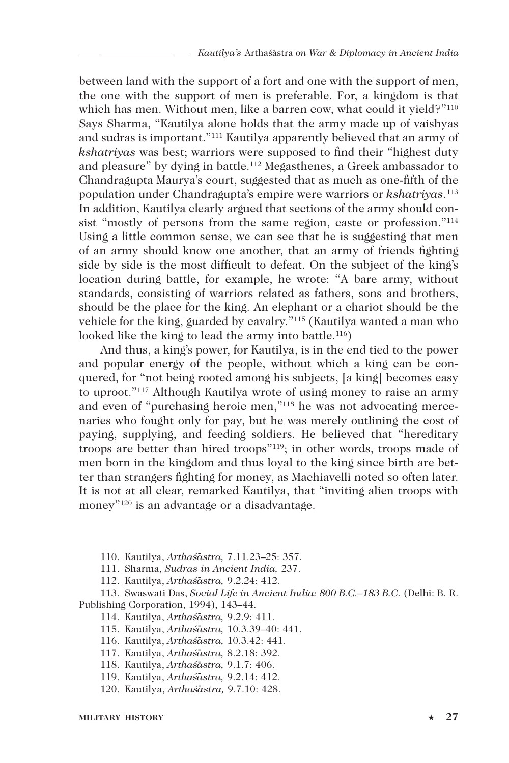between land with the support of a fort and one with the support of men, the one with the support of men is preferable. For, a kingdom is that which has men. Without men, like a barren cow, what could it yield?"<sup>110</sup> Says Sharma, "Kautilya alone holds that the army made up of vaishyas and sudras is important."111 Kautilya apparently believed that an army of *kshatriyas* was best; warriors were supposed to find their "highest duty and pleasure" by dying in battle.112 Megasthenes, a Greek ambassador to Chandragupta Maurya's court, suggested that as much as one-fifth of the population under Chandragupta's empire were warriors or *kshatriyas*. 113 In addition, Kautilya clearly argued that sections of the army should consist "mostly of persons from the same region, caste or profession."114 Using a little common sense, we can see that he is suggesting that men of an army should know one another, that an army of friends fighting side by side is the most difficult to defeat. On the subject of the king's location during battle, for example, he wrote: "A bare army, without standards, consisting of warriors related as fathers, sons and brothers, should be the place for the king. An elephant or a chariot should be the vehicle for the king, guarded by cavalry."115 (Kautilya wanted a man who looked like the king to lead the army into battle.<sup>116</sup>)

And thus, a king's power, for Kautilya, is in the end tied to the power and popular energy of the people, without which a king can be conquered, for "not being rooted among his subjects, [a king] becomes easy to uproot."117 Although Kautilya wrote of using money to raise an army and even of "purchasing heroic men,"118 he was not advocating mercenaries who fought only for pay, but he was merely outlining the cost of paying, supplying, and feeding soldiers. He believed that "hereditary troops are better than hired troops"119; in other words, troops made of men born in the kingdom and thus loyal to the king since birth are better than strangers fighting for money, as Machiavelli noted so often later. It is not at all clear, remarked Kautilya, that "inviting alien troops with money"120 is an advantage or a disadvantage.

- 110. Kautilya, *Artha´s*-*astra,* 7.11.23–25: 357.
- 111. Sharma, *Sudras in Ancient India,* 237.
- 112. Kautilya, *Artha´s*-*astra,* 9.2.24: 412.

113. Swaswati Das, *Social Life in Ancient India: 800 B.C.–183 B.C.* (Delhi: B. R. Publishing Corporation, 1994), 143–44.

- 114. Kautilya, *Artha´s*-*astra,* 9.2.9: 411.
- 115. Kautilya, *Artha´s*-*astra,* 10.3.39–40: 441.
- 116. Kautilya, *Artha´s*-*astra,* 10.3.42: 441.
- 117. Kautilya, *Artha´s*-*astra,* 8.2.18: 392.
- 118. Kautilya, *Artha´s*-*astra,* 9.1.7: 406.
- 119. Kautilya, *Artha´s*-*astra,* 9.2.14: 412.
- 120. Kautilya, *Artha´s*-*astra,* 9.7.10: 428.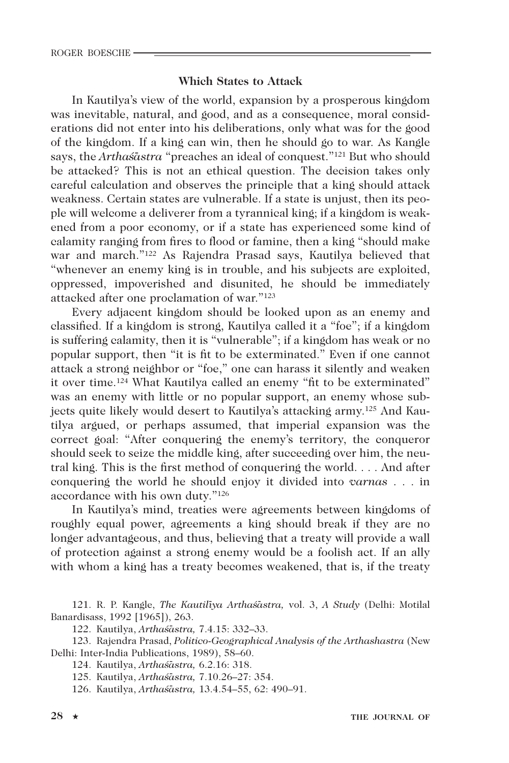#### **Which States to Attack**

In Kautilya's view of the world, expansion by a prosperous kingdom was inevitable, natural, and good, and as a consequence, moral considerations did not enter into his deliberations, only what was for the good of the kingdom. If a king can win, then he should go to war. As Kangle says, the *Arthascastra* "preaches an ideal of conquest."<sup>121</sup> But who should be attacked? This is not an ethical question. The decision takes only careful calculation and observes the principle that a king should attack weakness. Certain states are vulnerable. If a state is unjust, then its people will welcome a deliverer from a tyrannical king; if a kingdom is weakened from a poor economy, or if a state has experienced some kind of calamity ranging from fires to flood or famine, then a king "should make war and march."122 As Rajendra Prasad says, Kautilya believed that "whenever an enemy king is in trouble, and his subjects are exploited, oppressed, impoverished and disunited, he should be immediately attacked after one proclamation of war."123

Every adjacent kingdom should be looked upon as an enemy and classified. If a kingdom is strong, Kautilya called it a "foe"; if a kingdom is suffering calamity, then it is "vulnerable"; if a kingdom has weak or no popular support, then "it is fit to be exterminated." Even if one cannot attack a strong neighbor or "foe," one can harass it silently and weaken it over time.124 What Kautilya called an enemy "fit to be exterminated" was an enemy with little or no popular support, an enemy whose subjects quite likely would desert to Kautilya's attacking army.125 And Kautilya argued, or perhaps assumed, that imperial expansion was the correct goal: "After conquering the enemy's territory, the conqueror should seek to seize the middle king, after succeeding over him, the neutral king. This is the first method of conquering the world. . . . And after conquering the world he should enjoy it divided into *varnas* . . . in accordance with his own duty."126

In Kautilya's mind, treaties were agreements between kingdoms of roughly equal power, agreements a king should break if they are no longer advantageous, and thus, believing that a treaty will provide a wall of protection against a strong enemy would be a foolish act. If an ally with whom a king has a treaty becomes weakened, that is, if the treaty

121. R. P. Kangle, *The Kautil-ıya Artha´s*-*astra,* vol. 3, *A Study* (Delhi: Motilal Banardisass, 1992 [1965]), 263.

122. Kautilya, *Artha´s*-*astra,* 7.4.15: 332–33.

123. Rajendra Prasad, *Politico-Geographical Analysis of the Arthashastra* (New Delhi: Inter-India Publications, 1989), 58–60.

124. Kautilya, *Artha´s*-*astra,* 6.2.16: 318.

125. Kautilya, *Artha´s*-*astra,* 7.10.26–27: 354.

126. Kautilya, *Artha´s*-*astra,* 13.4.54–55, 62: 490–91.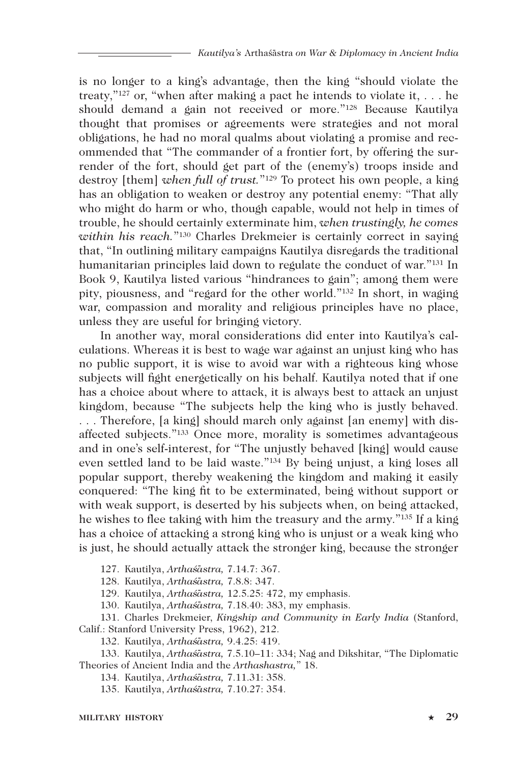is no longer to a king's advantage, then the king "should violate the treaty,"127 or, "when after making a pact he intends to violate it, . . . he should demand a gain not received or more."128 Because Kautilya thought that promises or agreements were strategies and not moral obligations, he had no moral qualms about violating a promise and recommended that "The commander of a frontier fort, by offering the surrender of the fort, should get part of the (enemy's) troops inside and destroy [them] *when full of trust.*"129 To protect his own people, a king has an obligation to weaken or destroy any potential enemy: "That ally who might do harm or who, though capable, would not help in times of trouble, he should certainly exterminate him, *when trustingly, he comes within his reach.*"130 Charles Drekmeier is certainly correct in saying that, "In outlining military campaigns Kautilya disregards the traditional humanitarian principles laid down to regulate the conduct of war."131 In Book 9, Kautilya listed various "hindrances to gain"; among them were pity, piousness, and "regard for the other world."132 In short, in waging war, compassion and morality and religious principles have no place, unless they are useful for bringing victory.

In another way, moral considerations did enter into Kautilya's calculations. Whereas it is best to wage war against an unjust king who has no public support, it is wise to avoid war with a righteous king whose subjects will fight energetically on his behalf. Kautilya noted that if one has a choice about where to attack, it is always best to attack an unjust kingdom, because "The subjects help the king who is justly behaved. . . . Therefore, [a king] should march only against [an enemy] with disaffected subjects."133 Once more, morality is sometimes advantageous and in one's self-interest, for "The unjustly behaved [king] would cause even settled land to be laid waste."134 By being unjust, a king loses all popular support, thereby weakening the kingdom and making it easily conquered: "The king fit to be exterminated, being without support or with weak support, is deserted by his subjects when, on being attacked, he wishes to flee taking with him the treasury and the army."135 If a king has a choice of attacking a strong king who is unjust or a weak king who is just, he should actually attack the stronger king, because the stronger

127. Kautilya, *Artha´s*-*astra,* 7.14.7: 367.

128. Kautilya, *Artha´s*-*astra,* 7.8.8: 347.

129. Kautilya, *Arthaśāstra*, 12.5.25: 472, my emphasis.

130. Kautilya, *Arthaśāstra*, 7.18.40: 383, my emphasis.

131. Charles Drekmeier, *Kingship and Community in Early India* (Stanford, Calif.: Stanford University Press, 1962), 212.

132. Kautilya, *Artha´s*-*astra,* 9.4.25: 419.

133. Kautilya, Arthasastra, 7.5.10-11: 334; Nag and Dikshitar, "The Diplomatic Theories of Ancient India and the *Arthashastra,*" 18.

134. Kautilya, *Artha´s*-*astra,* 7.11.31: 358.

135. Kautilya, *Artha´s*-*astra,* 7.10.27: 354.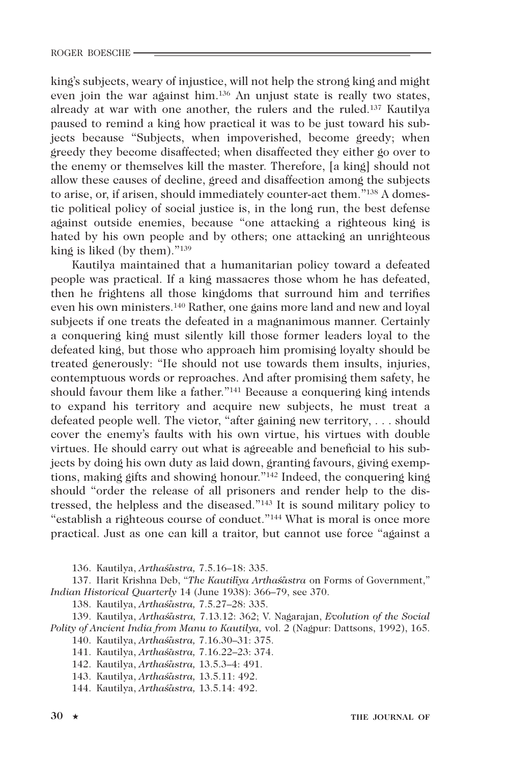king's subjects, weary of injustice, will not help the strong king and might even join the war against him.136 An unjust state is really two states, already at war with one another, the rulers and the ruled.137 Kautilya paused to remind a king how practical it was to be just toward his subjects because "Subjects, when impoverished, become greedy; when greedy they become disaffected; when disaffected they either go over to the enemy or themselves kill the master. Therefore, [a king] should not allow these causes of decline, greed and disaffection among the subjects to arise, or, if arisen, should immediately counter-act them."138 A domestic political policy of social justice is, in the long run, the best defense against outside enemies, because "one attacking a righteous king is hated by his own people and by others; one attacking an unrighteous king is liked (by them)."139

Kautilya maintained that a humanitarian policy toward a defeated people was practical. If a king massacres those whom he has defeated, then he frightens all those kingdoms that surround him and terrifies even his own ministers.140 Rather, one gains more land and new and loyal subjects if one treats the defeated in a magnanimous manner. Certainly a conquering king must silently kill those former leaders loyal to the defeated king, but those who approach him promising loyalty should be treated generously: "He should not use towards them insults, injuries, contemptuous words or reproaches. And after promising them safety, he should favour them like a father."141 Because a conquering king intends to expand his territory and acquire new subjects, he must treat a defeated people well. The victor, "after gaining new territory, . . . should cover the enemy's faults with his own virtue, his virtues with double virtues. He should carry out what is agreeable and beneficial to his subjects by doing his own duty as laid down, granting favours, giving exemptions, making gifts and showing honour."142 Indeed, the conquering king should "order the release of all prisoners and render help to the distressed, the helpless and the diseased."143 It is sound military policy to "establish a righteous course of conduct."144 What is moral is once more practical. Just as one can kill a traitor, but cannot use force "against a

136. Kautilya, *Artha´s*-*astra,* 7.5.16–18: 335.

137. Harit Krishna Deb, "*The Kautil-ıya Artha´s*-*astra* on Forms of Government," *Indian Historical Quarterly* 14 (June 1938): 366–79, see 370.

138. Kautilya, *Artha´s*-*astra,* 7.5.27–28: 335.

139. Kautilya, *Artha´s*-*astra,* 7.13.12: 362; V. Nagarajan, *Evolution of the Social Polity of Ancient India from Manu to Kautilya,* vol. 2 (Nagpur: Dattsons, 1992), 165.

- 140. Kautilya, *Artha´s*-*astra,* 7.16.30–31: 375.
- 141. Kautilya, *Artha´s*-*astra,* 7.16.22–23: 374.
- 142. Kautilya, *Artha´s*-*astra,* 13.5.3–4: 491.
- 143. Kautilya, *Artha´s*-*astra,* 13.5.11: 492.
- 144. Kautilya, *Artha´s*-*astra,* 13.5.14: 492.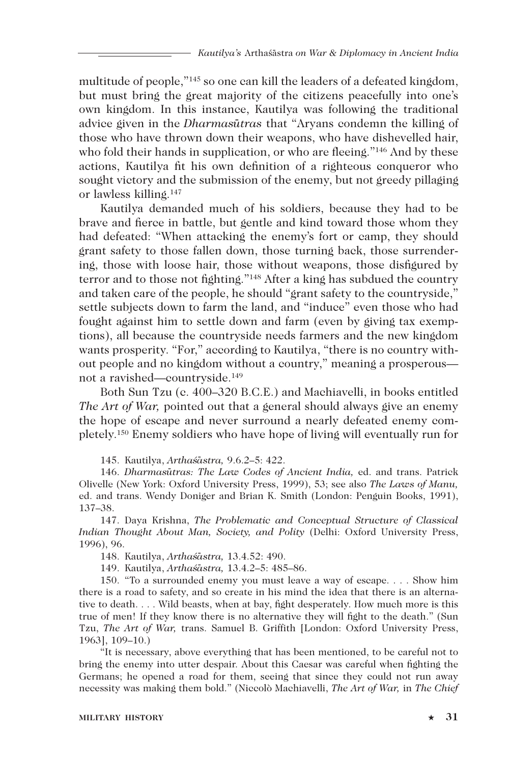multitude of people,"145 so one can kill the leaders of a defeated kingdom, but must bring the great majority of the citizens peacefully into one's own kingdom. In this instance, Kautilya was following the traditional advice given in the *Dharmasūtras* that "Aryans condemn the killing of those who have thrown down their weapons, who have dishevelled hair, who fold their hands in supplication, or who are fleeing."<sup>146</sup> And by these actions, Kautilya fit his own definition of a righteous conqueror who sought victory and the submission of the enemy, but not greedy pillaging or lawless killing.147

Kautilya demanded much of his soldiers, because they had to be brave and fierce in battle, but gentle and kind toward those whom they had defeated: "When attacking the enemy's fort or camp, they should grant safety to those fallen down, those turning back, those surrendering, those with loose hair, those without weapons, those disfigured by terror and to those not fighting."148 After a king has subdued the country and taken care of the people, he should "grant safety to the countryside," settle subjects down to farm the land, and "induce" even those who had fought against him to settle down and farm (even by giving tax exemptions), all because the countryside needs farmers and the new kingdom wants prosperity. "For," according to Kautilya, "there is no country without people and no kingdom without a country," meaning a prosperous not a ravished—countryside.149

Both Sun Tzu (c. 400–320 B.C.E.) and Machiavelli, in books entitled *The Art of War,* pointed out that a general should always give an enemy the hope of escape and never surround a nearly defeated enemy completely.150 Enemy soldiers who have hope of living will eventually run for

145. Kautilya, *Artha´s*-*astra,* 9.6.2–5: 422.

146. *Dharmas*-*utras: The Law Codes of Ancient India,* ed. and trans. Patrick Olivelle (New York: Oxford University Press, 1999), 53; see also *The Laws of Manu,* ed. and trans. Wendy Doniger and Brian K. Smith (London: Penguin Books, 1991), 137–38.

147. Daya Krishna, *The Problematic and Conceptual Structure of Classical Indian Thought About Man, Society, and Polity* (Delhi: Oxford University Press, 1996), 96.

148. Kautilya, *Artha´s*-*astra,* 13.4.52: 490.

149. Kautilya, *Artha´s*-*astra,* 13.4.2–5: 485–86.

150. "To a surrounded enemy you must leave a way of escape. . . . Show him there is a road to safety, and so create in his mind the idea that there is an alternative to death. . . . Wild beasts, when at bay, fight desperately. How much more is this true of men! If they know there is no alternative they will fight to the death." (Sun Tzu, *The Art of War,* trans. Samuel B. Griffith [London: Oxford University Press, 1963], 109–10.)

"It is necessary, above everything that has been mentioned, to be careful not to bring the enemy into utter despair. About this Caesar was careful when fighting the Germans; he opened a road for them, seeing that since they could not run away necessity was making them bold." (Niccolò Machiavelli, *The Art of War,* in *The Chief*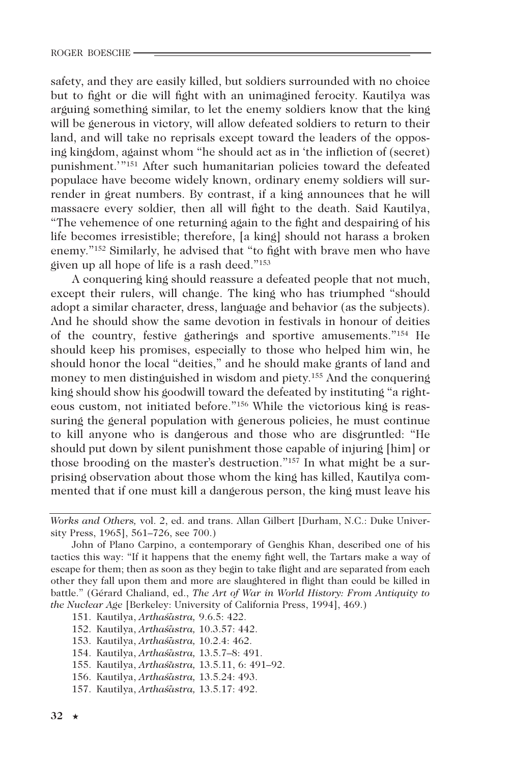safety, and they are easily killed, but soldiers surrounded with no choice but to fight or die will fight with an unimagined ferocity. Kautilya was arguing something similar, to let the enemy soldiers know that the king will be generous in victory, will allow defeated soldiers to return to their land, and will take no reprisals except toward the leaders of the opposing kingdom, against whom "he should act as in 'the infliction of (secret) punishment.'"151 After such humanitarian policies toward the defeated populace have become widely known, ordinary enemy soldiers will surrender in great numbers. By contrast, if a king announces that he will massacre every soldier, then all will fight to the death. Said Kautilya, "The vehemence of one returning again to the fight and despairing of his life becomes irresistible; therefore, [a king] should not harass a broken enemy."152 Similarly, he advised that "to fight with brave men who have given up all hope of life is a rash deed."153

A conquering king should reassure a defeated people that not much, except their rulers, will change. The king who has triumphed "should adopt a similar character, dress, language and behavior (as the subjects). And he should show the same devotion in festivals in honour of deities of the country, festive gatherings and sportive amusements."154 He should keep his promises, especially to those who helped him win, he should honor the local "deities," and he should make grants of land and money to men distinguished in wisdom and piety.155 And the conquering king should show his goodwill toward the defeated by instituting "a righteous custom, not initiated before."156 While the victorious king is reassuring the general population with generous policies, he must continue to kill anyone who is dangerous and those who are disgruntled: "He should put down by silent punishment those capable of injuring [him] or those brooding on the master's destruction."157 In what might be a surprising observation about those whom the king has killed, Kautilya commented that if one must kill a dangerous person, the king must leave his

- 151. Kautilya, *Artha´s*-*astra,* 9.6.5: 422.
- 152. Kautilya, *Artha´s*-*astra,* 10.3.57: 442.
- 153. Kautilya, *Artha´s*-*astra,* 10.2.4: 462.
- 154. Kautilya, *Artha´s*-*astra,* 13.5.7–8: 491.
- 155. Kautilya, *Artha´s*-*astra,* 13.5.11, 6: 491–92.
- 156. Kautilya, *Artha´s*-*astra,* 13.5.24: 493.
- 157. Kautilya, *Artha´s*-*astra,* 13.5.17: 492.

*Works and Others,* vol. 2, ed. and trans. Allan Gilbert [Durham, N.C.: Duke University Press, 1965], 561–726, see 700.)

John of Plano Carpino, a contemporary of Genghis Khan, described one of his tactics this way: "If it happens that the enemy fight well, the Tartars make a way of escape for them; then as soon as they begin to take flight and are separated from each other they fall upon them and more are slaughtered in flight than could be killed in battle." (Gérard Chaliand, ed., *The Art of War in World History: From Antiquity to the Nuclear Age* [Berkeley: University of California Press, 1994], 469.)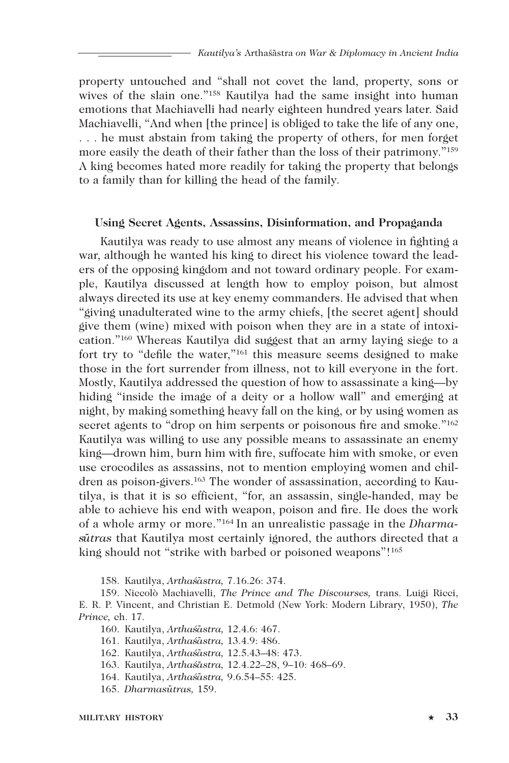property untouched and "shall not covet the land, property, sons or wives of the slain one."158 Kautilya had the same insight into human emotions that Machiavelli had nearly eighteen hundred years later. Said Machiavelli, "And when [the prince] is obliged to take the life of any one, . . . he must abstain from taking the property of others, for men forget more easily the death of their father than the loss of their patrimony."159 A king becomes hated more readily for taking the property that belongs to a family than for killing the head of the family.

#### **Using Secret Agents, Assassins, Disinformation, and Propaganda**

Kautilya was ready to use almost any means of violence in fighting a war, although he wanted his king to direct his violence toward the leaders of the opposing kingdom and not toward ordinary people. For example, Kautilya discussed at length how to employ poison, but almost always directed its use at key enemy commanders. He advised that when "giving unadulterated wine to the army chiefs, [the secret agent] should give them (wine) mixed with poison when they are in a state of intoxication."160 Whereas Kautilya did suggest that an army laying siege to a fort try to "defile the water,"161 this measure seems designed to make those in the fort surrender from illness, not to kill everyone in the fort. Mostly, Kautilya addressed the question of how to assassinate a king—by hiding "inside the image of a deity or a hollow wall" and emerging at night, by making something heavy fall on the king, or by using women as secret agents to "drop on him serpents or poisonous fire and smoke."<sup>162</sup> Kautilya was willing to use any possible means to assassinate an enemy king—drown him, burn him with fire, suffocate him with smoke, or even use crocodiles as assassins, not to mention employing women and children as poison-givers.163 The wonder of assassination, according to Kautilya, is that it is so efficient, "for, an assassin, single-handed, may be able to achieve his end with weapon, poison and fire. He does the work of a whole army or more."164 In an unrealistic passage in the *Dharmas-utras* that Kautilya most certainly ignored, the authors directed that a king should not "strike with barbed or poisoned weapons"!165

158. Kautilya, *Artha´s*-*astra,* 7.16.26: 374.

159. Niccolò Machiavelli, *The Prince and The Discourses,* trans. Luigi Ricci, E. R. P. Vincent, and Christian E. Detmold (New York: Modern Library, 1950), *The Prince,* ch. 17.

- 160. Kautilya, *Artha´s*-*astra,* 12.4.6: 467.
- 161. Kautilya, *Artha´s*-*astra,* 13.4.9: 486.
- 162. Kautilya, *Artha´s*-*astra,* 12.5.43–48: 473.
- 163. Kautilya, *Artha´s*-*astra,* 12.4.22–28, 9–10: 468–69.
- 164. Kautilya, *Artha´s*-*astra,* 9.6.54–55: 425.
- 165. *Dharmasūtras*, 159.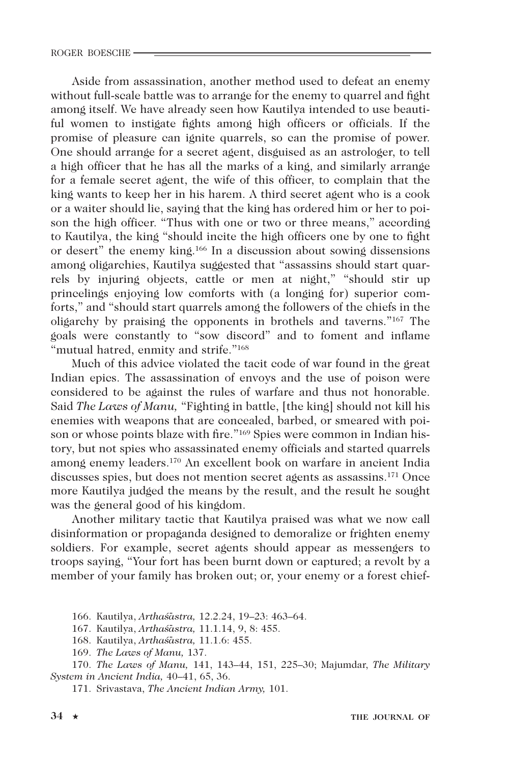Aside from assassination, another method used to defeat an enemy without full-scale battle was to arrange for the enemy to quarrel and fight among itself. We have already seen how Kautilya intended to use beautiful women to instigate fights among high officers or officials. If the promise of pleasure can ignite quarrels, so can the promise of power. One should arrange for a secret agent, disguised as an astrologer, to tell a high officer that he has all the marks of a king, and similarly arrange for a female secret agent, the wife of this officer, to complain that the king wants to keep her in his harem. A third secret agent who is a cook or a waiter should lie, saying that the king has ordered him or her to poison the high officer. "Thus with one or two or three means," according to Kautilya, the king "should incite the high officers one by one to fight or desert" the enemy king.166 In a discussion about sowing dissensions among oligarchies, Kautilya suggested that "assassins should start quarrels by injuring objects, cattle or men at night," "should stir up princelings enjoying low comforts with (a longing for) superior comforts," and "should start quarrels among the followers of the chiefs in the oligarchy by praising the opponents in brothels and taverns."167 The goals were constantly to "sow discord" and to foment and inflame "mutual hatred, enmity and strife."<sup>168</sup>

Much of this advice violated the tacit code of war found in the great Indian epics. The assassination of envoys and the use of poison were considered to be against the rules of warfare and thus not honorable. Said *The Laws of Manu,* "Fighting in battle, [the king] should not kill his enemies with weapons that are concealed, barbed, or smeared with poison or whose points blaze with fire."<sup>169</sup> Spies were common in Indian history, but not spies who assassinated enemy officials and started quarrels among enemy leaders.170 An excellent book on warfare in ancient India discusses spies, but does not mention secret agents as assassins.171 Once more Kautilya judged the means by the result, and the result he sought was the general good of his kingdom.

Another military tactic that Kautilya praised was what we now call disinformation or propaganda designed to demoralize or frighten enemy soldiers. For example, secret agents should appear as messengers to troops saying, "Your fort has been burnt down or captured; a revolt by a member of your family has broken out; or, your enemy or a forest chief-

166. Kautilya, *Artha´s*-*astra,* 12.2.24, 19–23: 463–64.

167. Kautilya, *Artha´s*-*astra,* 11.1.14, 9, 8: 455.

168. Kautilya, *Artha´s*-*astra,* 11.1.6: 455.

169. *The Laws of Manu,* 137.

170. *The Laws of Manu,* 141, 143–44, 151, 225–30; Majumdar, *The Military System in Ancient India,* 40–41, 65, 36.

171. Srivastava, *The Ancient Indian Army,* 101.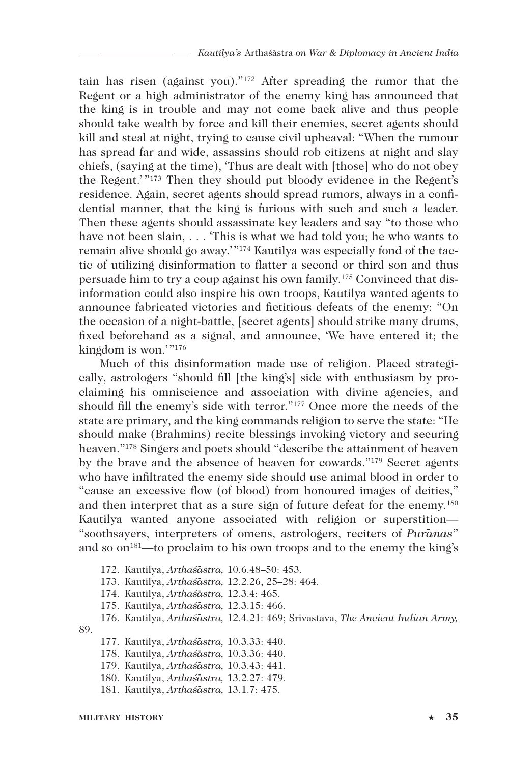tain has risen (against you)."172 After spreading the rumor that the Regent or a high administrator of the enemy king has announced that the king is in trouble and may not come back alive and thus people should take wealth by force and kill their enemies, secret agents should kill and steal at night, trying to cause civil upheaval: "When the rumour has spread far and wide, assassins should rob citizens at night and slay chiefs, (saying at the time), 'Thus are dealt with [those] who do not obey the Regent.' "173 Then they should put bloody evidence in the Regent's residence. Again, secret agents should spread rumors, always in a confidential manner, that the king is furious with such and such a leader. Then these agents should assassinate key leaders and say "to those who have not been slain, . . . 'This is what we had told you; he who wants to remain alive should go away.'"174 Kautilya was especially fond of the tactic of utilizing disinformation to flatter a second or third son and thus persuade him to try a coup against his own family.175 Convinced that disinformation could also inspire his own troops, Kautilya wanted agents to announce fabricated victories and fictitious defeats of the enemy: "On the occasion of a night-battle, [secret agents] should strike many drums, fixed beforehand as a signal, and announce, 'We have entered it; the kingdom is won.'"176

Much of this disinformation made use of religion. Placed strategically, astrologers "should fill [the king's] side with enthusiasm by proclaiming his omniscience and association with divine agencies, and should fill the enemy's side with terror."177 Once more the needs of the state are primary, and the king commands religion to serve the state: "He should make (Brahmins) recite blessings invoking victory and securing heaven."178 Singers and poets should "describe the attainment of heaven by the brave and the absence of heaven for cowards."179 Secret agents who have infiltrated the enemy side should use animal blood in order to "cause an excessive flow (of blood) from honoured images of deities," and then interpret that as a sure sign of future defeat for the enemy.180 Kautilya wanted anyone associated with religion or superstition— "soothsayers, interpreters of omens, astrologers, reciters of *Pur-anas*" and so  $on<sup>181</sup>$ —to proclaim to his own troops and to the enemy the king's

- 172. Kautilya, *Artha´s*-*astra,* 10.6.48–50: 453.
- 173. Kautilya, *Artha´s*-*astra,* 12.2.26, 25–28: 464.
- 174. Kautilya, *Artha´s*-*astra,* 12.3.4: 465.
- 175. Kautilya, *Artha´s*-*astra,* 12.3.15: 466.

176. Kautilya, *Artha´s*-*astra,* 12.4.21: 469; Srivastava, *The Ancient Indian Army,* 89.

- 177. Kautilya, *Artha´s*-*astra,* 10.3.33: 440.
- 178. Kautilya, *Artha´s*-*astra,* 10.3.36: 440.
- 179. Kautilya, *Artha´s*-*astra,* 10.3.43: 441.
- 180. Kautilya, *Artha´s*-*astra,* 13.2.27: 479.
- 181. Kautilya, *Artha´s*-*astra,* 13.1.7: 475.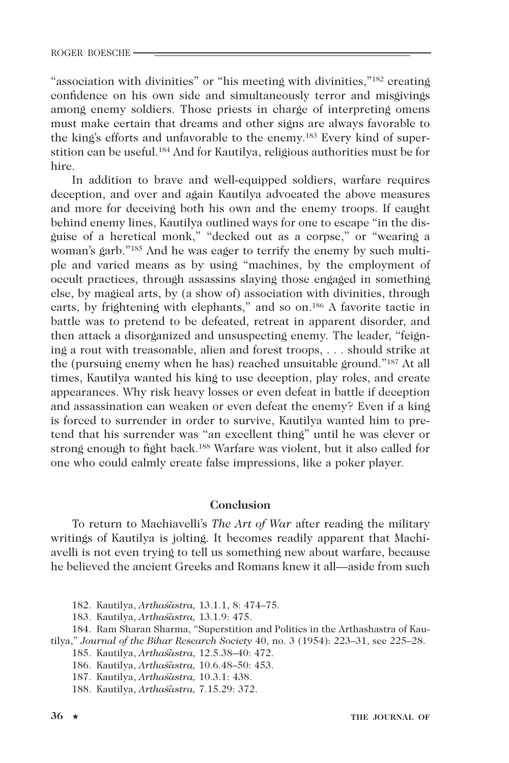"association with divinities" or "his meeting with divinities,"<sup>182</sup> creating confidence on his own side and simultaneously terror and misgivings among enemy soldiers. Those priests in charge of interpreting omens must make certain that dreams and other signs are always favorable to the king's efforts and unfavorable to the enemy.183 Every kind of superstition can be useful.184 And for Kautilya, religious authorities must be for hire.

In addition to brave and well-equipped soldiers, warfare requires deception, and over and again Kautilya advocated the above measures and more for deceiving both his own and the enemy troops. If caught behind enemy lines, Kautilya outlined ways for one to escape "in the disguise of a heretical monk," "decked out as a corpse," or "wearing a woman's garb.<sup>"185</sup> And he was eager to terrify the enemy by such multiple and varied means as by using "machines, by the employment of occult practices, through assassins slaying those engaged in something else, by magical arts, by (a show of) association with divinities, through carts, by frightening with elephants," and so on.186 A favorite tactic in battle was to pretend to be defeated, retreat in apparent disorder, and then attack a disorganized and unsuspecting enemy. The leader, "feigning a rout with treasonable, alien and forest troops, . . . should strike at the (pursuing enemy when he has) reached unsuitable ground."187 At all times, Kautilya wanted his king to use deception, play roles, and create appearances. Why risk heavy losses or even defeat in battle if deception and assassination can weaken or even defeat the enemy? Even if a king is forced to surrender in order to survive, Kautilya wanted him to pretend that his surrender was "an excellent thing" until he was clever or strong enough to fight back.188 Warfare was violent, but it also called for one who could calmly create false impressions, like a poker player.

#### **Conclusion**

To return to Machiavelli's *The Art of War* after reading the military writings of Kautilya is jolting. It becomes readily apparent that Machiavelli is not even trying to tell us something new about warfare, because he believed the ancient Greeks and Romans knew it all—aside from such

182. Kautilya, *Artha´s*-*astra,* 13.1.1, 8: 474–75.

183. Kautilya, *Artha´s*-*astra,* 13.1.9: 475.

184. Ram Sharan Sharma, "Superstition and Politics in the Arthashastra of Kautilya," *Journal of the Bihar Research Society* 40, no. 3 (1954): 223–31, see 225–28.

- 185. Kautilya, *Artha´s*-*astra,* 12.5.38–40: 472.
- 186. Kautilya, *Artha´s*-*astra,* 10.6.48–50: 453.
- 187. Kautilya, *Artha´s*-*astra,* 10.3.1: 438.

188. Kautilya, *Artha´s*-*astra,* 7.15.29: 372.